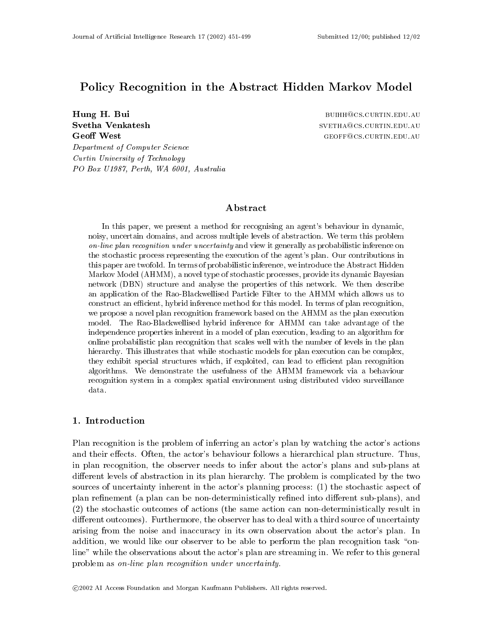# Policy Recognition in the Abstract Hidden Markov Model

Svetha Venkatesh **Geoff West** 

Hung H. Bui building the set of the set of the set of the BUIHH@CS.CURTIN.EDU.AU SVETHA@CS.CURTIN.EDU.AU GEOFF@CS.CURTIN.EDU.AU

Department of Computer Science Curtin University of Technology PO Box U1987, Perth, WA 6001, Australia

# Abstract

In this paper, we present a method for recognising an agent's behaviour in dynamic, noisy, uncertain domains, and across multiple levels of abstraction. We term this problem on-line plan recognition under uncertainty and view it generally as probabilistic inference on the stochastic process representing the execution of the agent's plan. Our contributions in this paper are twofold. In terms of probabilistic inference, we introduce the Abstract Hidden Markov Model (AHMM), a novel type of stochastic processes, provide its dynamic Bayesian network (DBN) structure and analyse the properties of this network. We then describe an application of the Rao-Blackwellised Particle Filter to the AHMM which allows us to construct an efficient, hybrid inference method for this model. In terms of plan recognition, we propose a novel plan recognition framework based on the AHMM as the plan execution model. The Rao-Blackwellised hybrid inference for AHMM can take advantage of the independence properties inherent in a model of plan execution, leading to an algorithm for online probabilistic plan recognition that scales well with the number of levels in the plan hierarchy. This illustrates that while stochastic models for plan execution can be complex, they exhibit special structures which, if exploited, can lead to efficient plan recognition algorithms. We demonstrate the usefulness of the AHMM framework via a behaviour recognition system in a complex spatial environment using distributed video surveillance data.

### 1. Introduction

Plan recognition is the problem of inferring an actor's plan by watching the actor's actions and their effects. Often, the actor's behaviour follows a hierarchical plan structure. Thus, in plan recognition, the observer needs to infer about the actor's plans and sub-plans at different levels of abstraction in its plan hierarchy. The problem is complicated by the two sources of uncertainty inherent in the actor's planning process: (1) the stochastic aspect of plan refinement (a plan can be non-deterministically refined into different sub-plans), and (2) the stochastic outcomes of actions (the same action can non-deterministically result in different outcomes). Furthermore, the observer has to deal with a third source of uncertainty arising from the noise and inaccuracy in its own observation about the actor's plan. In addition, we would like our observer to be able to perform the plan recognition task "online" while the observations about the actor's plan are streaming in. We refer to this general problem as on-line plan recognition under uncertainty.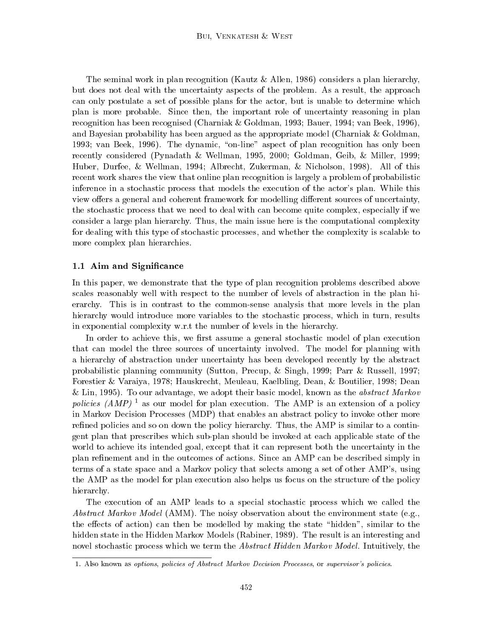The seminal work in plan recognition (Kautz & Allen, 1986) considers a plan hierarchy, but does not deal with the uncertainty aspects of the problem. As a result, the approach can only postulate a set of possible plans for the actor, but is unable to determine which plan is more probable. Since then, the important role of uncertainty reasoning in plan recognition has been recognised (Charniak & Goldman, 1993; Bauer, 1994; van Beek, 1996), and Bayesian probability has been argued as the appropriate model (Charniak & Goldman, 1993; van Beek, 1996). The dynamic, "on-line" aspect of plan recognition has only been recently considered (Pynadath & Wellman, 1995, 2000; Goldman, Geib, & Miller, 1999; Huber, Durfee, & Wellman, 1994; Albrecht, Zukerman, & Nicholson, 1998). All of this recent work shares the view that online plan recognition is largely a problem of probabilistic inference in a stochastic process that models the execution of the actor's plan. While this view offers a general and coherent framework for modelling different sources of uncertainty, the stochastic process that we need to deal with can become quite complex, especially if we consider a large plan hierarchy. Thus, the main issue here is the computational complexity for dealing with this type of stochastic processes, and whether the complexity is scalable to more complex plan hierarchies.

# 1.1 Aim and Signicance

In this paper, we demonstrate that the type of plan recognition problems described above scales reasonably well with respect to the number of levels of abstraction in the plan hierarchy. This is in contrast to the common-sense analysis that more levels in the plan hierarchy would introduce more variables to the stochastic process, which in turn, results in exponential complexity w.r.t the number of levels in the hierarchy.

In order to achieve this, we first assume a general stochastic model of plan execution that can model the three sources of uncertainty involved. The model for planning with a hierarchy of abstraction under uncertainty has been developed recently by the abstract probabilistic planning community (Sutton, Precup, & Singh, 1999; Parr & Russell, 1997; Forestier & Varaiya, 1978; Hauskrecht, Meuleau, Kaelbling, Dean, & Boutilier, 1998; Dean & Lin, 1995). To our advantage, we adopt their basic model, known as the *abstract Markov* policies  $(AMP)^1$  as our model for plan execution. The AMP is an extension of a policy in Markov Decision Processes (MDP) that enables an abstract policy to invoke other more refined policies and so on down the policy hierarchy. Thus, the AMP is similar to a contingent plan that prescribes which sub-plan should be invoked at each applicable state of the world to achieve its intended goal, except that it can represent both the uncertainty in the plan refinement and in the outcomes of actions. Since an AMP can be described simply in terms of a state space and a Markov policy that selects among a set of other AMP's, using the AMP as the model for plan execution also helps us focus on the structure of the policy hierarchy.

The execution of an AMP leads to a special stochastic process which we called the Abstract Markov Model (AMM). The noisy observation about the environment state (e.g., the effects of action) can then be modelled by making the state "hidden", similar to the hidden state in the Hidden Markov Models (Rabiner, 1989). The result is an interesting and novel stochastic process which we term the *Abstract Hidden Markov Model*. Intuitively, the

<sup>1.</sup> Also known as options, policies of Abstract Markov Decision Processes, or supervisor's policies.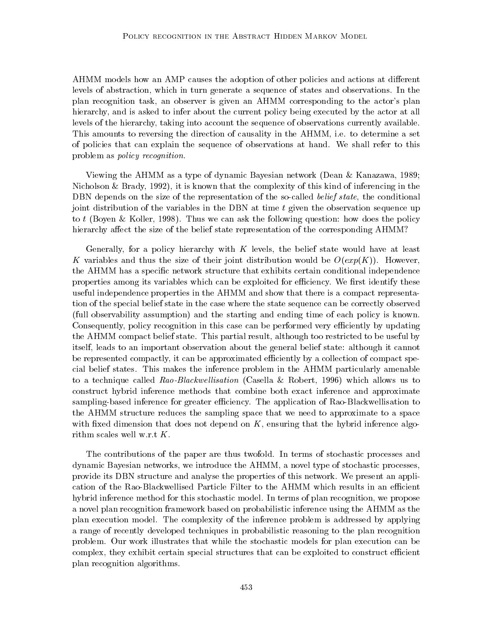AHMM models how an AMP causes the adoption of other policies and actions at different levels of abstraction, which in turn generate a sequence of states and observations. In the plan recognition task, an observer is given an AHMM corresponding to the actor's plan hierarchy, and is asked to infer about the current policy being executed by the actor at all levels of the hierarchy, taking into account the sequence of observations currently available. This amounts to reversing the direction of causality in the AHMM, i.e. to determine a set of policies that can explain the sequence of observations at hand. We shall refer to this problem as policy recognition.

Viewing the AHMM as a type of dynamic Bayesian network (Dean & Kanazawa, 1989; Nicholson & Brady, 1992), it is known that the complexity of this kind of inferencing in the DBN depends on the size of the representation of the so-called *belief state*, the conditional joint distribution of the variables in the DBN at time  $t$  given the observation sequence up to t (Boyen & Koller, 1998). Thus we can ask the following question: how does the policy hierarchy affect the size of the belief state representation of the corresponding AHMM?

Generally, for a policy hierarchy with  $K$  levels, the belief state would have at least K variables and thus the size of their joint distribution would be  $O(exp(K))$ . However, the AHMM has a specific network structure that exhibits certain conditional independence properties among its variables which can be exploited for efficiency. We first identify these useful independence properties in the AHMM and show that there is a compact representation of the special belief state in the case where the state sequence can be correctly observed (full observability assumption) and the starting and ending time of each policy is known. Consequently, policy recognition in this case can be performed very efficiently by updating the AHMM compact belief state. This partial result, although too restricted to be useful by itself, leads to an important observation about the general belief state: although it cannot be represented compactly, it can be approximated efficiently by a collection of compact special belief states. This makes the inference problem in the AHMM particularly amenable to a technique called Rao-Blackwellisation (Casella & Robert, 1996) which allows us to construct hybrid inference methods that combine both exact inference and approximate sampling-based inference for greater efficiency. The application of Rao-Blackwellisation to the AHMM structure reduces the sampling space that we need to approximate to a space with fixed dimension that does not depend on  $K$ , ensuring that the hybrid inference algorithm scales well w.r.t K.

The contributions of the paper are thus twofold. In terms of stochastic processes and dynamic Bayesian networks, we introduce the AHMM, a novel type of stochastic processes, provide its DBN structure and analyse the properties of this network. We present an application of the Rao-Blackwellised Particle Filter to the AHMM which results in an efficient hybrid inference method for this stochastic model. In terms of plan recognition, we propose a novel plan recognition framework based on probabilistic inference using the AHMM as the plan execution model. The complexity of the inference problem is addressed by applying a range of recently developed techniques in probabilistic reasoning to the plan recognition problem. Our work illustrates that while the stochastic models for plan execution can be complex, they exhibit certain special structures that can be exploited to construct efficient plan recognition algorithms.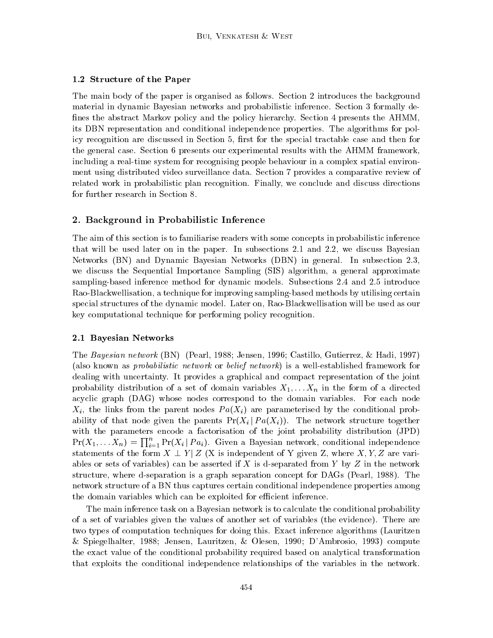### 1.2 Structure of the Paper

The main body of the paper is organised asfollows. Section 2 introduces the background material in dynamic Bayesian networks and probabilistic inference. Section 3 formally de fines the abstract Markov policy and the policy hierarchy. Section 4 presents the AHMM. its DBN representation and conditional independence properties. The algorithms for policy recognition are discussed in Section 5, first for the special tractable case and then for the general case. Section 6 presents our experimental results with the AHMM framework, including a real-time system for recognising people behaviour in a complex spatial environment using distributed video surveillance data. Section 7 provides a comparative review of related work in probabilistic plan recognition. Finally, we conclude and discuss directions for further research in Section 8.

#### 2. Background in Probabilistic Inference

The aim of this section is to familiarise readers with some concepts in probabilistic inference that will be used later on in the paper. In subsections 2.1 and 2.2, we discuss Bayesian Networks (BN) and Dynamic Bayesian Networks (DBN) in general. In subsection 2.3, we discuss the Sequential Importance Sampling (SIS) algorithm, a general approximate sampling-based inference method for dynamic models. Subsections 2.4 and 2.5 introduce Rao-Blackwellisation, a technique for improving sampling-based methods by utilising certain special structures of the dynamic model. Later on, Rao-Blackwellisation will be used as our key computational technique for performing policy recognition.

#### 2.1 Bayesian Networks

The Bayesian network (BN) (Pearl, 1988; Jensen, 1996; Castillo, Gutierrez, & Hadi, 1997) (also known as probabilistic network or belief network) is a well-established framework for dealing with uncertainty. It provides a graphical and compact representation of the joint probability distribution of a set of domain variables  $X_1,\ldots X_n$  in the form of a directed acyclic graph (DAG) whose nodes correspond to the domain variables. For each node  $X_i$ , the links from the parent nodes  $Pa(X_i)$  are parameterised by the conditional probability of that node given the parents  $Pr(X_i | Pa(X_i))$ . The network structure together with the parameters encode a factorisation of the joint probability distribution (JPD)  $Pr(X_1, \ldots X_n) = \prod_{i=1}^n Pr(X_i | Pa_i)$ . Given a Bayesian network, conditional independence statements of the form  $X \perp Y | Z$  (X is independent of Y given Z, where X, Y, Z are variables or sets of variables) can be asserted if X is d-separated from Y by  $Z$  in the network structure, where d-separation is a graph separation concept for DAGs (Pearl, 1988). The network structure of a BN thus captures certain conditional independence properties among the domain variables which can be exploited for efficient inference.

The main inference task on a Bayesian network is to calculate the conditional probability of a set of variables given the values of another set of variables (the evidence). There are two types of computation techniques for doing this. Exact inference algorithms (Lauritzen & Spiegelhalter, 1988; Jensen, Lauritzen, & Olesen,1990; D'Ambrosio, 1993) compute the exact value of the conditional probability required based on analytical transformation that exploits the conditional independence relationships of the variables in the network.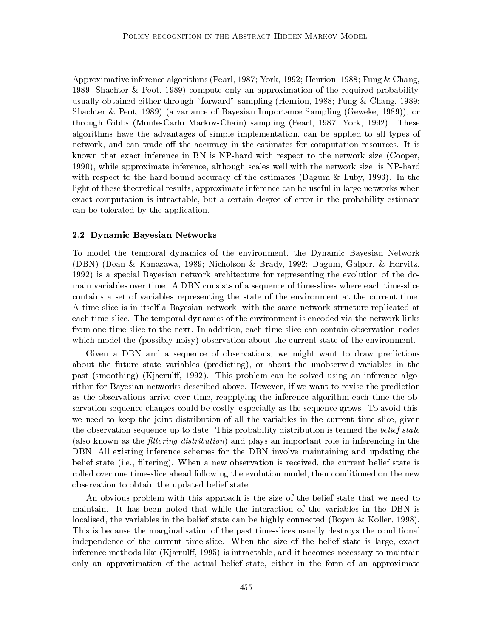Approximative inference algorithms (Pearl, 1987; York, 1992; Henrion, 1988; Fung & Chang, 1989; Shachter & Peot, 1989) compute only an approximation of the required probability, usually obtained either through \forward" sampling (Henrion, 1988; Fung & Chang, 1989; Shachter & Peot, 1989) (a variance of Bayesian Importance Sampling (Geweke, 1989)), or through Gibbs (Monte-Carlo Markov-Chain) sampling (Pearl, 1987; York, 1992). These algorithms have the advantages of simple implementation, can be applied to alltypes of network, and can trade off the accuracy in the estimates for computation resources. It is known that exact inference in BN is NP-hard with respect to the network size (Cooper, 1990), while approximate inference, although scales well with the network size, is NP-hard with respect to the hard-bound accuracy of the estimates (Dagum & Luby, 1993). In the light of these theoretical results, approximate inference can be useful in large networks when exact computation is intractable, but a certain degree of error in the probability estimate can be tolerated by the application.

#### 2.2 Dynamic Bayesian Networks

To model the temporal dynamics of the environment, the Dynamic Bayesian Network (DBN) (Dean & Kanazawa, 1989; Nicholson & Brady, 1992; Dagum, Galper, & Horvitz, 1992) is a special Bayesian network architecture for representing the evolution of the domain variables over time. A DBN consists of a sequence of time-slices where each time-slice contains a set of variables representing the state of the environment at the current time. A time-slice is in itself a Bayesian network, with the same network structure replicated at each time-slice. The temporal dynamics of the environment is encoded via the network links from one time-slice to the next. In addition, each time-slice can contain observation nodes which model the (possibly noisy) observation about the current state of the environment.

Given a DBN and a sequence of observations, we might want to draw predictions about the future state variables (predicting), or about the unobserved variables in the past (smoothing) (Kjaerulff, 1992). This problem can be solved using an inference algorithm for Bayesian networks described above. However, if we want to revise the prediction as the observations arrive over time, reapplying the inference algorithm each time the observation sequence changes could be costly, especially as the sequence grows. To avoid this, we need to keep the joint distribution of all the variables in the current time-slice, given the observation sequence up to date. This probability distribution is termed the *belief state* (also known as the *filtering distribution*) and plays an important role in inferencing in the DBN. All existing inference schemes for the DBN involve maintaining and updating the belief state (i.e., filtering). When a new observation is received, the current belief state is rolled over one time-slice ahead following the evolution model, then conditioned on the new observation to obtain the updated belief state.

An obvious problem with this approach is the size of the belief state that we need to maintain. It has been noted that while the interaction of the variables in the DBN is localised, the variables in the belief state can be highly connected (Boyen & Koller, 1998). This is because the marginalisation of the past time-slices usually destroys the conditional independence of the current time-slice. When the size of the belief state is large, exact inference methods like (Kjærulff, 1995) is intractable, and it becomes necessary to maintain only an approximation of the actual belief state, either in the form of an approximate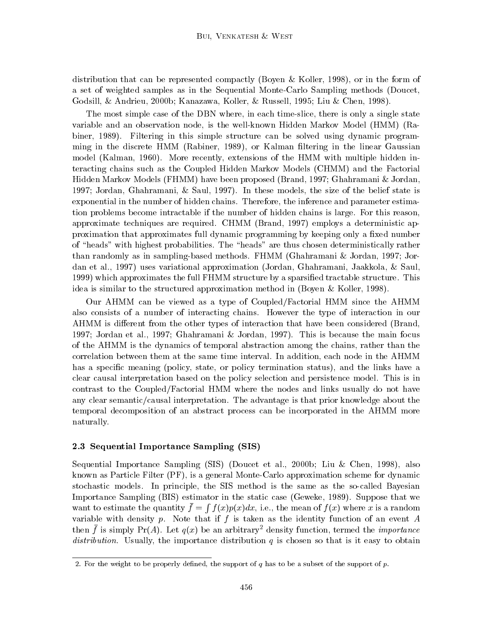distribution that can be represented compactly (Boyen & Koller, 1998), or in the form of a set of weighted samples as in the Sequential Monte-Carlo Sampling methods (Doucet, Godsill, & Andrieu, 2000b; Kanazawa, Koller, & Russell, 1995; Liu & Chen, 1998).

The most simple case of the DBN where, in each time-slice, there is only a single state variable and an observation node, is the well-known Hidden Markov Model (HMM) (Rabiner, 1989). Filtering in this simple structure can be solved using dynamic programming in the discrete HMM (Rabiner, 1989), or Kalman ltering in the linear Gaussian model (Kalman, 1960). More recently, extensions of the HMM with multiple hidden interacting chains such as the Coupled Hidden Markov Models (CHMM) and the Factorial Hidden Markov Models (FHMM) have been proposed (Brand, 1997; Ghahramani & Jordan, 1997; Jordan, Ghahramani, & Saul, 1997). In these models, the size of the belief state is exponential in the number of hidden chains. Therefore, the inference and parameter estimation problems become intractable if the number of hidden chains is large. For this reason, approximate techniques are required. CHMM (Brand, 1997) employs a deterministic approximation that approximates full dynamic programming by keeping only a fixed number of "heads" with highest probabilities. The "heads" are thus chosen deterministically rather than randomly as in sampling-based methods. FHMM (Ghahramani & Jordan, 1997; Jordan et al., 1997) uses variational approximation (Jordan, Ghahramani, Jaakkola, & Saul, 1999) which approximates the full FHMM structure by a sparsied tractable structure. This idea is similar to the structured approximation method in (Boyen & Koller, 1998).

Our AHMM can be viewed as a type of Coupled/Factorial HMM since the AHMM also consists of a number of interacting chains. However the type of interaction in our AHMM is different from the other types of interaction that have been considered (Brand, 1997; Jordan etal., 1997; Ghahramani & Jordan, 1997). This is because the main focus of the AHMM is the dynamics of temporal abstraction among the chains, rather than the correlation between them at the same time interval. In addition, each node in the AHMM has a specific meaning (policy, state, or policy termination status), and the links have a clear causal interpretation based on the policy selection and persistence model. This is in contrast to the Coupled/Factorial HMM where the nodes and links usually do not have any clear semantic/causal interpretation. The advantage is that prior knowledge about the temporal decomposition of an abstract process can be incorporated in the AHMM more naturally.

# 2.3 Sequential Importance Sampling (SIS)

Sequential Importance Sampling (SIS) (Doucet et al., 2000b; Liu & Chen, 1998), also known as Particle Filter (PF), is a general Monte-Carlo approximation scheme for dynamic stochastic models. In principle, the SIS method isthe same as the so-called Bayesian Importance Sampling (BIS) estimator in the static case (Geweke, 1989). Suppose that we want to estimate the quantity  $f = f(x)p(x)da$ **R** Research  $f$  (c)  $f$  (c)  $f$  and  $f$  i.e., the mean of f is a random  $f$   $\alpha$  is a random  $f$   $\alpha$  random  $\alpha$  random  $\alpha$ variable with density p. Note that if f is taken as the identity function of an event  $A$ then f is simply Pr(A). Let  $q(x)$  be an arbitrary addisity function, termed the *importance* distribution. Usually, the importance distribution  $q$  is chosen so that is it easy to obtain

<sup>2.</sup> For the weight to be properly defined, the support of q has to be a subset of the support of  $p$ .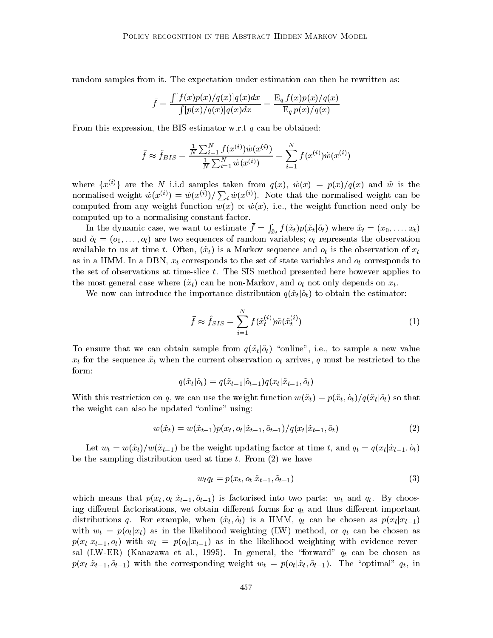random samples from it. The expectation under estimation can then be rewritten as:

$$
\bar{f} = \frac{\int [f(x)p(x)/q(x)]q(x)dx}{\int [p(x)/q(x)]q(x)dx} = \frac{\mathrm{E}_q f(x)p(x)/q(x)}{\mathrm{E}_q p(x)/q(x)}
$$

From this expression, the BIS estimator w.r.t  $q$  can be obtained:

$$
\bar{f} \approx \hat{f}_{BIS} = \frac{\frac{1}{N} \sum_{i=1}^{N} f(x^{(i)}) \dot{w}(x^{(i)})}{\frac{1}{N} \sum_{i=1}^{N} \dot{w}(x^{(i)})} = \sum_{i=1}^{N} f(x^{(i)}) \tilde{w}(x^{(i)})
$$

where  $\{x^{(i)}\}$  are the N i.i.d samples taken from  $q(x)$ ,  $\dot{w}(x) = p(x)/q(x)$  and  $\tilde{w}$  is the normalised weight  $\tilde{w}(x^{(i)}) = \dot{w}(x^{(i)}) / \sum_i \dot{w}(x^{(i)})$ . Note that the normalised weight can be computed from any weight function  $w(x) \propto \dot{w}(x)$ , i.e., the weight function need only be computed up to a normalising constant factor.

In the dynamic case, we want to estimate  $f = \int_{\tilde{\sigma}} f(x_t) p(x_t)$  $\int_{\tilde{x}_t} f(\tilde{x}_t) p(\tilde{x}_t | \tilde{o}_t) \text{ where } \tilde{x}_t = (x_0, \ldots, x_t)$ and  $\tilde{o}_t = (o_0,\ldots,o_t)$  are two sequences of random variables;  $o_t$  represents the observation available to us at time t. Often,  $(\tilde{x}_t)$  is a Markov sequence and  $o_t$  is the observation of  $x_t$ as in a HMM. In a DBN,  $x_t$  corresponds to the set of state variables and  $o_t$  corresponds to the set of observations at time-slice  $t$ . The SIS method presented here however applies to the most general case where  $({\tilde x}_t)$  can be non-Markov, and  $o_t$  not only depends on  $x_t$ .

We now can introduce the importance distribution  $q(\tilde{x}_t|\tilde{o}_t)$  to obtain the estimator:

$$
\bar{f} \approx \hat{f}_{SIS} = \sum_{i=1}^{N} f(\tilde{x}_t^{(i)}) \tilde{w}(\tilde{x}_t^{(i)})
$$
\n(1)

To ensure that we can obtain sample from  $q(\tilde{x}_t|\tilde{o}_t)$  "online", i.e., to sample a new value  $x_t$  for the sequence  $\tilde{x}_t$  when the current observation  $o_t$  arrives, q must be restricted to the form:

$$
q(\tilde{x}_t|\tilde{o}_t)=q(\tilde{x}_{t-1}|\tilde{o}_{t-1})q(x_t|\tilde{x}_{t-1},\tilde{o}_t)
$$

With this restriction on q, we can use the weight function  $w(\tilde{x}_t) = p(\tilde{x}_t, \tilde{o}_t)/q(\tilde{x}_t|\tilde{o}_t)$  so that the weight can also be updated "online" using:

$$
w(\tilde{x}_t) = w(\tilde{x}_{t-1})p(x_t, o_t | \tilde{x}_{t-1}, \tilde{o}_{t-1})/q(x_t | \tilde{x}_{t-1}, \tilde{o}_t)
$$
\n(2)

Let  $w_t = w(\tilde{x}_t)/w(\tilde{x}_{t-1})$  be the weight updating factor at time t, and  $q_t = q(x_t | \tilde{x}_{t-1}, \tilde{o}_t)$ be the sampling distribution used at time t. From  $(2)$  we have

$$
w_t q_t = p(x_t, o_t | \tilde{x}_{t-1}, \tilde{o}_{t-1})
$$
\n
$$
(3)
$$

which means that  $p(x_t, o_t | \tilde{x}_{t-1}, \tilde{o}_{t-1})$  is factorised into two parts:  $w_t$  and  $q_t$ . By choosing different factorisations, we obtain different forms for  $q_t$  and thus different important distributions q. For example, when  $(\tilde{x}_t, \tilde{o}_t)$  is a HMM,  $q_t$  can be chosen as  $p(x_t | x_{t-1})$ with  $w_t = p(o_t | x_t)$  as in the likelihood weighting (LW) method, or  $q_t$  can be chosen as  $p(x_t | x_{t-1}, o_t)$  with  $w_t = p(o_t | x_{t-1})$  as in the likelihood weighting with evidence reversal (LW-ER) (Kanazawa et al., 1995). In general, the "forward"  $q_t$  can be chosen as  $p(x_t|\tilde{x}_{t-1}, \tilde{o}_{t-1})$  with the corresponding weight  $w_t = p(o_t|\tilde{x}_t, \tilde{o}_{t-1})$ . The "optimal"  $q_t$  in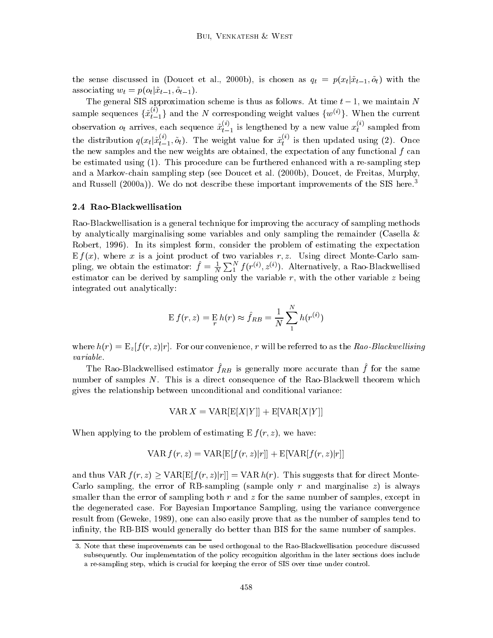the sense discussed in (Doucet et al., 2000b), is chosen as  $q_t = p(x_t|\tilde{x}_{t-1}, \tilde{o}_t)$  with the associating  $w_t = p(o_t | \tilde{x}_{t-1}, \tilde{o}_{t-1}).$ 

The general SIS approximation scheme is thus as follows. At time  $t - 1$ , we maintain N sample sequences  $\{x_{t-1}^{U}\}$  and the N corresponding weight values  $\{w^{(v)}\}$ . When the current observation  $o_t$  arrives, each sequence  $x_{t-1}^{ \infty}$  is lengthened by a new value  $x_t^{ \infty}$  sampled from the distribution  $q(x_t|x_{t-1}^{\omega}, o_t)$ . The weight value for  $x_t^{\omega}$  is then updated using (2). Once the new samples and the new weights are obtained, the expectation of any functional  $f$  can be estimated using (1). This procedure can be furthered enhanced with a re-sampling step and a Markov-chain sampling step (see Doucet et al. (2000b), Doucet, de Freitas, Murphy, and Russell  $(2000a)$ ). We do not describe these important improvements of the SIS here.<sup>3</sup>

#### 2.4 Rao-Blackwellisation

Rao-Blackwellisation is a general technique for improving the accuracy of sampling methods by analytically marginalising some variables and only sampling the remainder (Casella  $\&$ Robert, 1996). In its simplest form, consider the problem of estimating the expectation E f (x), where x is a joint product of two variables r; z. Using direct Monte-Carlo sampling, we obtain the estimator:  $f = \frac{1}{N} \sum_{1}^{N} f(r^{(i)}, z^{(i)})$ . Alternatively, a Rao-Blackwellised estimator can be derived by sampling only the variable  $r$ , with the other variable  $z$  being integrated out analytically:

$$
\mathbf{E} f(r, z) = \mathbf{E} h(r) \approx \hat{f}_{RB} = \frac{1}{N} \sum_{1}^{N} h(r^{(i)})
$$

where  $h(r)=E_z [f (r, z)|r]$ . For our convenience, r will be referred to as the Rao-Blackwellising variable.

The Rao-Blackwellised estimator  $fRB$  is generally more accurate than  $f$  for the same number of samples N. This is a direct consequence of the Rao-Blackwell theorem which gives the relationship between unconditional and conditional variance:

$$
\text{VAR } X = \text{VAR}[\text{E}[X|Y]] + \text{E}[\text{VAR}[X|Y]]
$$

When applying to the problem of estimating  $E f(r, z)$ , we have:

$$
\text{VAR } f(r, z) = \text{VAR}[\mathbf{E}[f(r, z)|r]] + \mathbf{E}[\text{VAR}[f(r, z)|r]]
$$

and thus VAR  $f(r, z) \geq \text{VAR}[E[f(r, z)|r]] = \text{VAR } h(r)$ . This suggests that for direct Monte-Carlo sampling, the error of RB-sampling (sample only r and marginalise  $z$ ) is always smaller than the error of sampling both  $r$  and  $z$  for the same number of samples, except in the degenerated case. For Bayesian Importance Sampling, using the variance convergence result from (Geweke, 1989), one can also easily prove that as the number of samples tend to infinity, the RB-BIS would generally do better than BIS for the same number of samples.

<sup>3.</sup> Note that these improvements can be used orthogonal to the Rao-Blackwellisation procedure discussed subsequently. Our implementation of the policy recognition algorithm in the later sections does include a re-sampling step, which is crucial for keeping the error of SIS over time under control.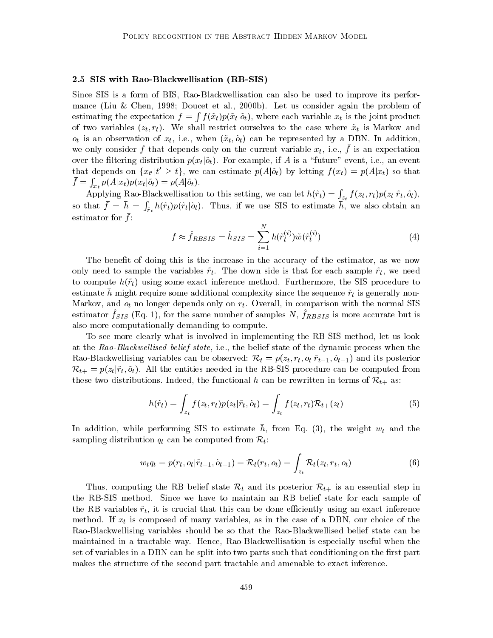### 2.5 SIS with Rao-Blackwellisation (RB-SIS)

Since SIS is a form of BIS, Rao-Blackwellisation can also be used to improve its performance (Liu & Chen, 1998; Doucet et al., 2000b). Let us consider again the problem of estimating the expectation  $f = f(x_t) p(x_t)$  $\int f(\tilde{x}_t)p(\tilde{x}_t|\tilde{o}_t)$ , where each variable  $x_t$  is the joint product of two variables  $(z_t, r_t)$ . We shall restrict ourselves to the case where  $\tilde{x}_t$  is Markov and  $o_t$  is an observation of  $x_t$ , i.e., when  $(\tilde{x}_t, \tilde{o}_t)$  can be represented by a DBN. In addition, we only consider  $f$  that depends only on the current variable  $x_t$ , i.e.,  $f$  is an expectation over the filtering distribution  $p(x_t | \tilde{o}_t)$ . For example, if A is a "future" event, i.e., an event that depends on  $\{x_{t'} | t \geq t\}$ , we can estimate  $p(A|0_t)$  by letting  $f(x_t) = p(A|x_t)$  so that  $f = f_1 \mu(A|\psi_t) \mu(A)$  $\int_{x_t} p(A|x_t) p(x_t|\tilde{o}_t) = p(A|\tilde{o}_t).$ 

Applying Rao-Blackwellisation to this setting, we can let  $h(\tilde{r}_t) = \int_{z_t} f(z_t, r_t) p(z_t | \tilde{r}_t, \tilde{o}_t),$ so that  $f = h = \int_{\tilde{r}_t} h(\tilde{r}_t)p(\tilde{r}_t|\tilde{\rho}_t)$ . Thus, if we use SIS to estimate h, we also obtain an  $\epsilon$ stimator for  $\mu$ .

$$
\bar{f} \approx \hat{f}_{RBSIS} = \hat{h}_{SIS} = \sum_{i=1}^{N} h(\tilde{r}_t^{(i)}) \tilde{w}(\tilde{r}_t^{(i)})
$$
(4)

The benefit of doing this is the increase in the accuracy of the estimator, as we now only need to sample the variables  $\tilde{r}_t$ . The down side is that for each sample  $\tilde{r}_t$ , we need to compute  $h(\tilde{r}_t)$  using some exact inference method. Furthermore, the SIS procedure to estimate  $\bar{h}$  might require some additional complexity since the sequence  $\tilde{r}_t$  is generally non-Markov, and  $o_t$  no longer depends only on  $r_t$ . Overall, in comparison with the normal SIS estimator  $fSS$  (Eq. 1), for the same number of samples  $N$ ,  $fRBSIS$  is more accurate but is also more computationally demanding to compute.

To see more clearly what is involved in implementing the RB-SIS method, let us look at the Rao-Blackwellised belief state, i.e., the belief state of the dynamic process when the Rao-Blackwellising variables can be observed:  $\mathcal{R}_t = p(z_t, r_t, o_t | \tilde{r}_{t-1}, \tilde{o}_{t-1})$  and its posterior  $\mathcal{R}_{t+} = p(z_t | \tilde{r}_t, \tilde{o}_t)$ . All the entities needed in the RB-SIS procedure can be computed from these two distributions. Indeed, the functional h can be rewritten in terms of  $\mathcal{R}_{t+}$  as:

$$
h(\tilde{r}_t) = \int_{z_t} f(z_t, r_t) p(z_t | \tilde{r}_t, \tilde{o}_t) = \int_{z_t} f(z_t, r_t) \mathcal{R}_{t+}(z_t)
$$
\n(5)

In addition, while performing SIS to estimate  $n$ , from Eq. (3), the weight  $w_t$  and the sampling distribution  $q_t$  can be computed from  $\mathcal{R}_t$ :

$$
w_t q_t = p(r_t, o_t | \tilde{r}_{t-1}, \tilde{o}_{t-1}) = \mathcal{R}_t(r_t, o_t) = \int_{z_t} \mathcal{R}_t(z_t, r_t, o_t)
$$
\n
$$
\tag{6}
$$

Thus, computing the RB belief state  $\mathcal{R}_t$  and its posterior  $\mathcal{R}_{t+}$  is an essential step in the RB-SIS method. Since we have to maintain an RB belief state for each sample of the RB variables  $\tilde{r}_t$ , it is crucial that this can be done efficiently using an exact inference method. If  $x_t$  is composed of many variables, as in the case of a DBN, our choice of the Rao-Blackwellising variables should be so that the Rao-Blackwellised belief state can be maintained in a tractable way. Hence, Rao-Blackwellisation is especially useful when the set of variables in a DBN can be split into two parts such that conditioning on the first part makes the structure of the second part tractable and amenable to exact inference.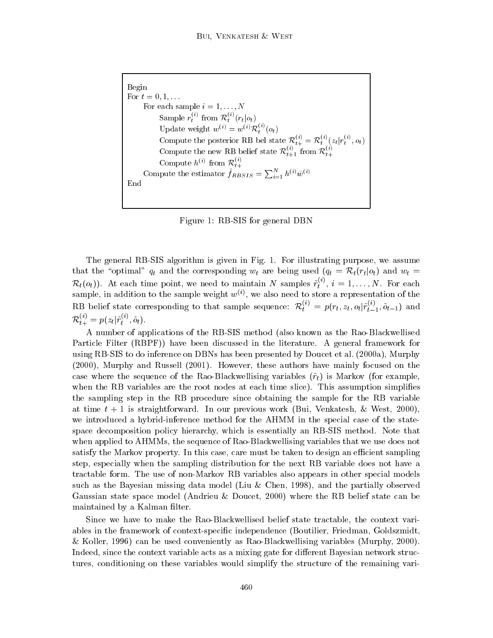```
Begin
For t = 0, 1, \ldotsFor each sample i=1,\ldots,NSample r_i from \mathcal{R}_i (r_t|o_t)t (respectively) the set of \mathcal{L} (respectively) and \mathcal{L}Update weight w^{(i)} = w^{(i)} \mathcal{R}_i^{(i)}(o_t)t \simCompute the posterior RB bel state \mathcal{R}_{t+}^{\gamma,\gamma} = \mathcal{R}_{t}^{\gamma,\gamma}(z_t|r_t^{\gamma,\gamma},o_t)Compute the new RB belief state \mathcal{R}_{t+1}^{\scriptscriptstyle (\vee)} from \mathcal{R}_{t+1}^{\scriptscriptstyle (\vee)}Compute h^{(i)} from \mathcal{R}^{(i)}t+1Compute the estimator f_{RBSIS} = \sum_{i=1}^{N} h^{(i)} \tilde{w}^{(i)}End
```
Figure 1: RB-SIS for general DBN

The general RB-SIS algorithm is given in Fig.1. For illustrating purpose, we assume that the "optimal"  $q_t$  and the corresponding  $w_t$  are being used  $(q_t = \mathcal{R}_t(r_t | o_t)$  and  $w_t =$  $\mathcal{R}_t(o_t)$ . At each time point, we need to maintain N samples  $r_t^{\vee\vee}, i=1,\ldots,N$ . For each sample, in addition to the sample weight  $w^{(i)}$ , we also need to store a representation of the RB belief state corresponding to that sample sequence:  $\mathcal{R}_t^{\times} = p(r_t, z_t, o_t | r_{t-1}^{\times}, o_{t-1})$  and  $\mathcal{R}_{t+}^{\cdots} = p(z_t | r_t^{\cdots}, o_t).$ 

A number of applications of the RB-SIS method (also known as the Rao-Blackwellised Particle Filter (RBPF)) have been discussed in the literature. A general framework for using RB-SIS to do inference on DBNs has been presented by Doucet et al. (2000a), Murphy (2000), Murphy and Russell (2001). However, these authors have mainly focused on the case where the sequence of the Rao-Blackwellising variables  $(\tilde{r}_t)$  is Markov (for example, when the RB variables are the root nodes at each time slice). This assumption simplifies the sampling step in the RB procedure since obtaining the sample for the RB variable at time  $t + 1$  is straightforward. In our previous work (Bui, Venkatesh, & West, 2000), we introduced a hybrid-inference method for the AHMM in the special case of the statespace decomposition policy hierarchy, which is essentially an RB-SIS method. Note that when applied to AHMMs, the sequence of Rao-Blackwellising variables that we use does not satisfy the Markov property. In this case, care must be taken to design an efficient sampling step, especially when the sampling distribution for the next RB variable does not have a tractable form. The use of non-Markov RB variables also appears in other special models such as the Bayesian missing data model (Liu & Chen, 1998), and the partially observed Gaussian state space model (Andrieu & Doucet,2000) where the RB belief state can be maintained by a Kalman filter.

Since we have to make the Rao-Blackwellised belief state tractable, the context variables in the framework of context-specic independence (Boutilier, Friedman, Goldszmidt, & Koller, 1996) can be used conveniently as Rao-Blackwellising variables (Murphy, 2000). Indeed, since the context variable acts as a mixing gate for different Bayesian network structures, conditioning on these variables would simplify the structure of the remaining vari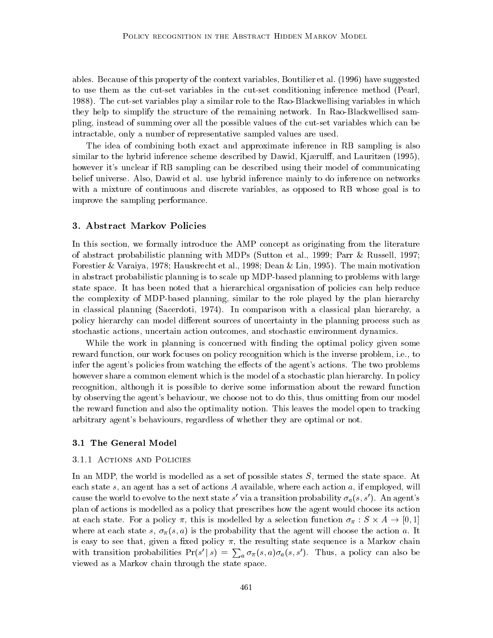ables. Because of this property of the context variables, Boutilier et al. (1996) have suggested to use them as the cut-set variables in the cut-set conditioning inference method (Pearl, 1988). The cut-set variables play a similar role to the Rao-Blackwellising variables in which they help to simplify the structure of the remaining network. In Rao-Blackwellised sampling, instead of summing over all the possible values of the cut-set variables which can be intractable, only a number of representative sampled values are used.

The idea of combining both exact and approximate inference in RB sampling is also similar to the hybrid inference scheme described by Dawid, Kjærulff, and Lauritzen (1995), however it's unclear if RB sampling can be described using their model of communicating belief universe. Also, Dawid et al. use hybrid inference mainly to do inference on networks with a mixture of continuous and discrete variables, as opposed to RB whose goal is to improve the sampling performance.

#### 3. Abstract Markov Policies

In this section, we formally introduce the AMP concept as originating from the literature of abstract probabilistic planning with MDPs (Sutton et al., 1999; Parr & Russell, 1997; Forestier & Varaiya, 1978; Hauskrecht et al., 1998; Dean & Lin, 1995). The main motivation in abstract probabilistic planning is to scale up MDP-based planning to problems with large state space. It has been noted that a hierarchical organisation of policies can help reduce the complexity of MDP-based planning, similar to the role played by the plan hierarchy in classical planning (Sacerdoti, 1974). In comparison with a classical plan hierarchy, a policy hierarchy can model different sources of uncertainty in the planning process such as stochastic actions, uncertain action outcomes, and stochastic environment dynamics.

While the work in planning is concerned with finding the optimal policy given some reward function, our work focuses on policy recognition which is the inverse problem, i.e., to infer the agent's policies from watching the effects of the agent's actions. The two problems however share a common element which is the model of a stochastic plan hierarchy. In policy recognition, although it is possible to derive some information about the reward function by observing the agent's behaviour, we choose not to do this, thus omitting from our model the reward function and also the optimality notion. This leaves the model open to tracking arbitrary agent's behaviours, regardless of whether they are optimal or not.

# 3.1 The General Model

#### 3.1.1 Actions and Policies

In an MDP, the world is modelled as a set of possible states S, termed the state space. At each state s, an agent has a set of actions A available, where each action  $a$ , if employed, will cause the world to evolve to the next state s' via a transition probability  $\sigma_a(s, s')$ . An agent's plan of actions is modelled as a policy that prescribes how the agent would choose its action at each state. For a policy  $\pi$ , this is inodelied by a selection function  $\sigma_{\pi}$  ,  $\beta \wedge A \rightarrow |0,1|$ where at each state s,  $\sigma_{\pi}(s, a)$  is the probability that the agent will choose the action a. It is easy to see that, given a fixed policy  $\pi$ , the resulting state sequence is a Markov chain with transition probabilities  $Pr(s' | s) = \sum_a \sigma_{\pi}(s, a)\sigma_a(s, s')$ . Thus, a policy can also be viewed as a Markov chain through the state space.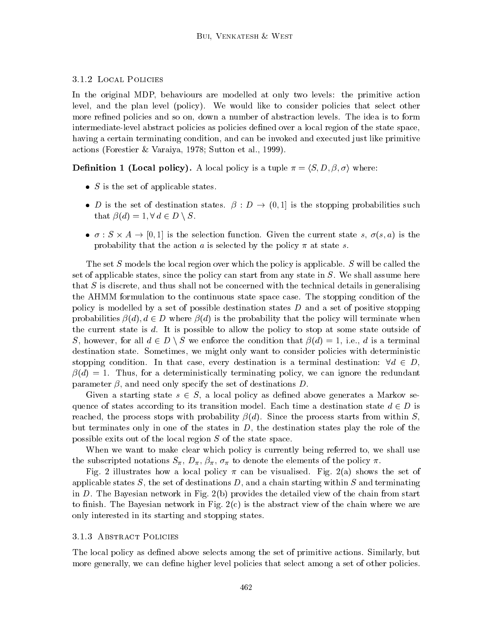### 3.1.2 Local Policies

In the original MDP, behaviours are modelled at only two levels: the primitive action level, and the plan level (policy). We would like to consider policies that select other more refined policies and so on, down a number of abstraction levels. The idea is to form intermediate-level abstract policies as policies dened over a local region of the state space, having a certain terminating condition, and can be invoked and executed just like primitive actions (Forestier & Varaiya, 1978; Sutton et al., 1999).

**Definition 1 (Local policy).** A local policy is a tuple  $\pi = \langle S, D, \beta, \sigma \rangle$  where:

- $\bullet$  b is the set of applicable states.
- $\bullet$  D is the set of destination states.  $\mu$  ,  $\mu \rightarrow 0$ , it is the stopping probabilities such that  $\beta(d) = 1, \forall d \in D \setminus S$ .
- $\bullet$  0  $\bullet$   $\beta$   $\land$   $\pi$   $\rightarrow$   $\lbrack 0,1\rbrack$  is the selection function. Given the current state s,  $\sigma(s, a)$  is the probability that the action  $a$  is selected by the policy  $\pi$  at state  $s$ .

The set S models the local region over which the policy is applicable. S will be called the set of applicable states, since the policy can start from any state in S. We shall assume here that  $S$  is discrete, and thus shall not be concerned with the technical details in generalising the AHMM formulation to the continuous state space case. The stopping condition of the policy is modelled by a set of possible destination states  $D$  and a set of positive stopping probabilities  $\beta(d), d \in D$  where  $\beta(d)$  is the probability that the policy will terminate when the current state is d. It is possible to allow the policy to stop atsome state outside of S, however, for all  $d \in D \setminus S$  we enforce the condition that  $\beta(d) = 1$ , i.e., d is a terminal destination state. Sometimes, we might only want to consider policies with deterministic stopping condition. In that case, every destination is a terminal destination:  $\forall d \in D$ ,  $\beta(d) = 1$ . Thus, for a deterministically terminating policy, we can ignore the redundant parameter  $\beta$ , and need only specify the set of destinations D.

Given a starting state  $s \in S$ , a local policy as defined above generates a Markov sequence of states according to its transition model. Each time a destination state  $d \in D$  is reached, the process stops with probability  $\beta(d)$ . Since the process starts from within S. but terminates only in one of the states in  $D$ , the destination states play the role of the possible exits out of the local region S of the state space.

When we want to make clear which policy is currently being referred to, we shall use the subscripted notations  $S_{\pi}$ ,  $D_{\pi}$ ,  $\beta_{\pi}$ ,  $\sigma_{\pi}$  to denote the elements of the policy  $\pi$ .

Fig. 2 illustrates how a local policy  $\pi$  can be visualised. Fig. 2(a) shows the set of applicable states  $S$ , the set of destinations  $D$ , and a chain starting within  $S$  and terminating in D. The Bayesian network in Fig. 2(b) provides the detailed view of the chain from start to finish. The Bayesian network in Fig.  $2(c)$  is the abstract view of the chain where we are only interested in its starting and stopping states.

# 3.1.3 Abstract Policies

The local policy as defined above selects among the set of primitive actions. Similarly, but more generally, we can define higher level policies that select among a set of other policies.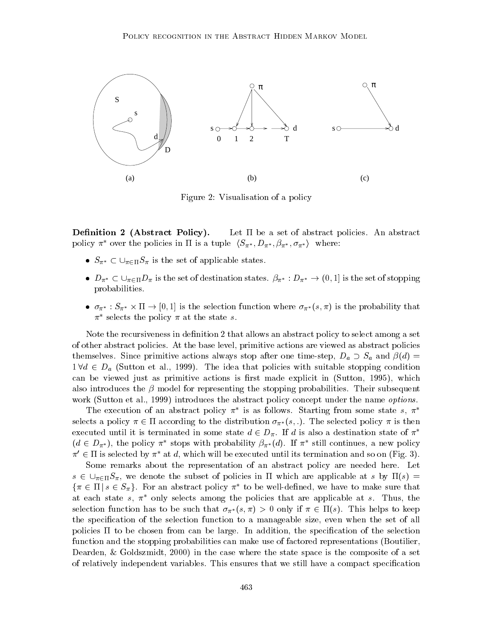

Figure 2: Visualisation of a policy

**Definition 2 (Abstract Policy).** Let  $\Pi$  be a set of abstract policies. An abstract policy  $\pi^*$  over the policies in  $\Pi$  is a tuple  $\langle S_{\pi^*}, D_{\pi^*}, \beta_{\pi^*}, \sigma_{\pi^*} \rangle$  where:

- Solution to the pointies in it is a tuple  $\langle D_{\pi^*}, D_{\pi^*}, D_{\pi^*}\rangle$ <br>  $\bullet$   $S_{\pi^*} \subset \bigcup_{\pi \in \Pi} S_{\pi}$  is the set of applicable states.
- $D_{\pi^*} \subset \bigcup_{\pi \in \Pi} D_{\pi}$  is the set of destination states.  $\beta_{\pi^*} : D_{\pi^*} \to (0, 1]$  is the set of stopping probabilities.
- $\bullet$   $\sigma_{\pi^*}$ .  $\sigma_{\pi^*}$   $\land$  11  $\rightarrow$  [0, 1] is the selection function where  $\sigma_{\pi^*}$ (s, h) is the probability that  $\pi^*$  selects the policy  $\pi$  at the state s.

Note the recursiveness in definition 2 that allows an abstract policy to select among a set of other abstract policies. At the base level, primitive actions are viewed as abstract policies themselves. Since primitive actions always stop after one time-step,  $D_a \supset S_a$  and  $\beta(d) =$  $1 \forall d \in D_a$  (Sutton et al., 1999). The idea that policies with suitable stopping condition can be viewed just as primitive actions is first made explicit in (Sutton, 1995), which also introduces the  $\beta$  model for representing the stopping probabilities. Their subsequent work (Sutton et al., 1999) introduces the abstract policy concept under the name *options*.

The execution of an abstract policy  $\pi$  is as follows. Starting from some state s,  $\pi$ selects a policy  $\pi \in \Pi$  according to the distribution  $\sigma_{\pi^*}(s, \cdot)$ . The selected policy  $\pi$  is then executed until it is terminated in some state  $d \in D_{\pi}$ . If d is also a destination state of  $\pi^*$  $(d \in D_{\pi^*})$ , the policy  $\pi^*$  stops with probability  $\beta_{\pi^*}(d)$ . If  $\pi^*$  still continues, a new policy  $\pi' \in \Pi$  is selected by  $\pi^*$  at d, which will be executed until its termination and so on (Fig. 3).

Some remarks about the representation of an abstract policy are needed here. Let  $s \in \bigcup_{\pi \in \Pi} S_{\pi}$ , we denote the subset of policies in  $\Pi$  which are applicable at s by  $\Pi(s) =$  $\{\pi\in \Pi\,|\,s\in S_\pi\}$ . For an abstract policy  $\pi$  to be well-defined, we have to make sure that at each state s,  $\pi^*$  only selects among the policies that are applicable at s. Thus, the selection function has to be such that  $\sigma_{\pi^*}(s, \pi) > 0$  only if  $\pi \in \Pi(s)$ . This helps to keep the specication of the selection function to a manageable size, even when the set of all policies  $\Pi$  to be chosen from can be large. In addition, the specification of the selection function and the stopping probabilities can make use of factored representations (Boutilier, Dearden, & Goldszmidt, 2000) in the case where the state space is the composite of a set of relatively independent variables. This ensures that we still have a compact specication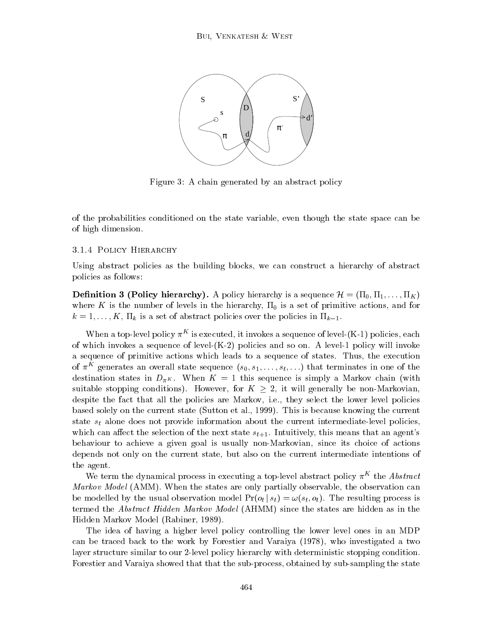

Figure 3: A chain generated by an abstract policy

of the probabilities conditioned on the state variable, even though the state space can be of high dimension.

#### 3.1.4 Policy Hierarchy

Using abstract policies as the building blocks, we can construct a hierarchy of abstract policies as follows:

**Definition 3 (Policy hierarchy).** A policy hierarchy is a sequence  $\mathcal{H} = (\Pi_0, \Pi_1, \dots, \Pi_K)$ where K is the number of levels in the hierarchy,  $\Pi_0$  is a set of primitive actions, and for  $k = 1, \ldots, K, \Pi_k$  is a set of abstract policies over the policies in  $\Pi_{k-1}$ .

When a top-level policy  $\pi^-$  is executed, it invokes a sequence of level-(K-1) policies, each of which invokes a sequence of level-(K-2) policies and so on. A level-1 policy will invoke a sequence of primitive actions which leads to a sequence of states. Thus, the execution of  $\pi$  generates an overall state sequence  $(s_0, s_1, \ldots, s_t, \ldots)$  that terminates in one of the destination states in  $D_{\pi K}$ . When  $K = 1$  this sequence is simply a Markov chain (with suitable stopping conditions). However, for  $K \geq 2$ , it will generally be non-Markovian. despite the fact that all the policies are Markov, i.e., they select the lower level policies based solely on the current state (Sutton et al., 1999). This is because knowing the current state  $s_t$  alone does not provide information about the current intermediate-level policies, which can affect the selection of the next state  $s_{t+1}$ . Intuitively, this means that an agent's behaviour to achieve a given goal is usually non-Markovian, since its choice of actions depends not only on the current state, but also on the current intermediate intentions of the agent.

We term the dynamical process in executing a top-level abstract policy  $\pi^{++}$  the  ${\it Abstract}$ Markov Model (AMM). When the states are only partially observable, the observation can be modelled by the usual observation model  $Pr(o_t | s_t) = \omega(s_t, o_t)$ . The resulting process is termed the Abstract Hidden Markov Model (AHMM) since the states are hidden as in the Hidden Markov Model (Rabiner, 1989).

The idea of having a higher level policy controlling the lower level ones in an MDP can be traced back to the work by Forestier and Varaiya (1978), who investigated a two layer structure similar to our 2-level policy hierarchy with deterministic stopping condition. Forestier and Varaiya showed that that the sub-process, obtained by sub-sampling the state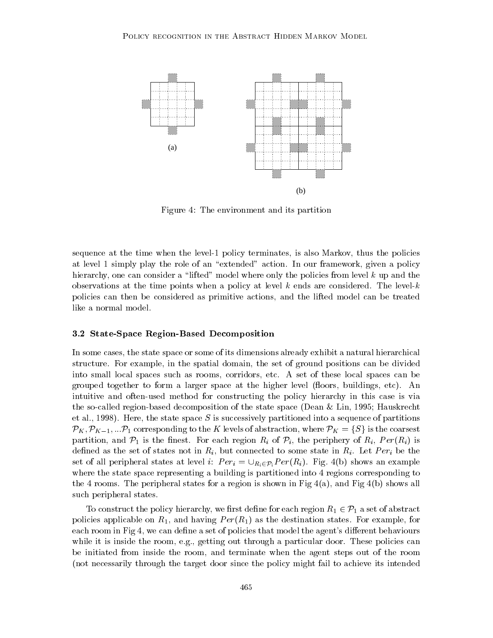

Figure 4: The environment and its partition

sequence at the time when the level-1 policy terminates, is also Markov, thus the policies at level 1 simply play the role of an "extended" action. In our framework, given a policy hierarchy, one can consider a "lifted" model where only the policies from level  $k$  up and the observations at the time points when a policy at level k ends are considered. The level-k policies can then be considered as primitive actions, and the lifted model can be treated like a normal model.

#### 3.2 State-Space Region-Based Decomposition

In some cases, the state space or some of its dimensions already exhibit a natural hierarchical structure. For example, in the spatial domain, the set of ground positions can be divided into small local spaces such as rooms, corridors, etc. A set of these local spaces can be grouped together to form a larger space at the higher level (floors, buildings, etc). An intuitive and often-used method for constructing the policy hierarchy in this case is via the so-called region-based decomposition of the state space (Dean & Lin, 1995; Hauskrecht et al., 1998). Here, the state space S is successively partitioned into a sequence of partitions  $\mathcal{P}_K, \mathcal{P}_{K-1}, ... \mathcal{P}_1$  corresponding to the K levels of abstraction, where  $\mathcal{P}_K = \{S\}$  is the coarsest partition, and  $P_1$  is the finest. For each region  $R_i$  of  $P_i$ , the periphery of  $R_i$ ,  $Per(R_i)$  is defined as the set of states not in  $R_i$ , but connected to some state in  $R_i$ . Let  $Per_i$  be the set of all peripheral states at level i:  $Per_i = \bigcup_{R_i \in \mathcal{P}_i} Per(R_i)$ . Fig. 4(b) shows an example where the state space representing a building is partitioned into 4 regions corresponding to the 4 rooms. The peripheral states for a region is shown in Fig  $4(a)$ , and Fig  $4(b)$  shows all such peripheral states.

To construct the policy hierarchy, we first define for each region  $R_1 \in \mathcal{P}_1$  a set of abstract policies applicable on  $R_1$ , and having  $Per(R_1)$  as the destination states. For example, for each room in Fig 4, we can define a set of policies that model the agent's different behaviours while it is inside the room, e.g., getting out through a particular door. These policies can be initiated from insidethe room, and terminate when the agent steps out of the room (not necessarily through the target door since the policy might fail to achieve its intended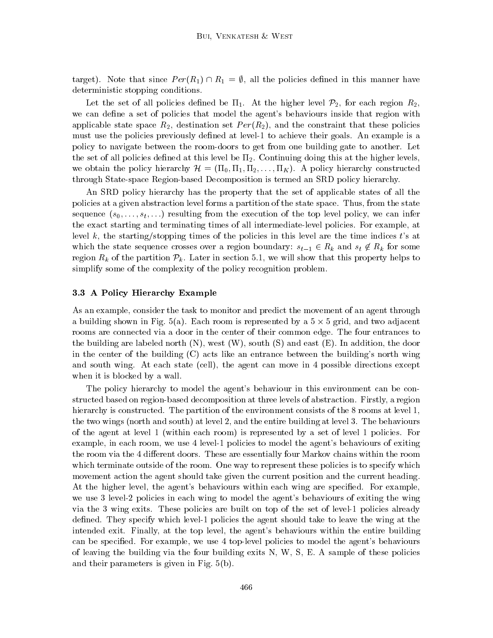target). Note that since  $Per(R_1) \cap R_1 = \emptyset$ , all the policies defined in this manner have deterministic stopping conditions.

Let the set of all policies defined be  $\Pi_1$ . At the higher level  $\mathcal{P}_2$ , for each region  $R_2$ , we can define a set of policies that model the agent's behaviours inside that region with applicable state space  $R_2$ , destination set  $Per(R_2)$ , and the constraint that these policies must use the policies previously defined at level-1 to achieve their goals. An example is a policy to navigate between the room-doors to get from one building gate to another. Let the set of all policies defined at this level be  $\Pi_2$ . Continuing doing this at the higher levels, we obtain the policy hierarchy  $\mathcal{H} = (\Pi_0, \Pi_1, \Pi_2, \dots, \Pi_K)$ . A policy hierarchy constructed through State-space Region-based Decomposition is termed an SRD policy hierarchy.

An SRD policy hierarchy has the property that the set of applicable states of all the policies at a given abstraction level forms a partition of the state space. Thus, from the state sequence  $(s_0,\ldots,s_t,\ldots)$  resulting from the execution of the top level policy, we can infer the exact starting and terminating times of all intermediate-level policies. For example, at level k, the starting/stopping times of the policies in this level are the time indices t's at which the state sequence crosses over a region boundary:  $s_{t-1} \in R_k$  and  $s_t \notin R_k$  for some region  $R_k$  of the partition  $\mathcal{P}_k$ . Later in section 5.1, we will show that this property helps to simplify some of the complexity of the policy recognition problem.

#### 3.3 A Policy Hierarchy Example

As an example, consider the task to monitor and predict the movement of an agent through a bunding shown in Fig.  $\sigma(a)$ . Each room is represented by a  $\sigma \wedge \sigma$  grid, and two adjacent rooms are connected via a door in the center of their common edge. The four entrances to the building are labeled north  $(N)$ , west  $(W)$ , south  $(S)$  and east  $(E)$ . In addition, the door in the center of the building (C) acts like an entrance between the building's north wing and south wing. At each state (cell), the agent can move in 4 possible directions except when it is blocked by a wall.

The policy hierarchy to model the agent's behaviour in this environment can be constructed based on region-based decomposition at three levels of abstraction. Firstly, a region hierarchy is constructed. The partition of the environment consists of the 8 rooms at level 1, the two wings (north and south) at level 2, and the entire building at level 3. The behaviours of the agent at level 1 (within each room) is represented by a set of level 1 policies. For example, in each room, we use 4 level-1 policies to model the agent's behaviours of exiting the room via the 4 different doors. These are essentially four Markov chains within the room which terminate outside of the room. One way to represent these policies is to specify which movement action the agent should take given the current position and the current heading. At the higher level, the agent's behaviours within each wing are specied. For example, we use 3 level-2 policies in each wing to model the agent's behaviours of exiting the wing via the 3 wing exits. These policies are built on top of the set of level-1 policies already defined. They specify which level-1 policies the agent should take to leave the wing at the intended exit. Finally, at the top level, the agent's behaviours within the entire building can be specified. For example, we use 4 top-level policies to model the agent's behaviours of leaving the building via the four building exits N, W, S, E. A sample of these policies and their parameters is given in Fig. 5(b).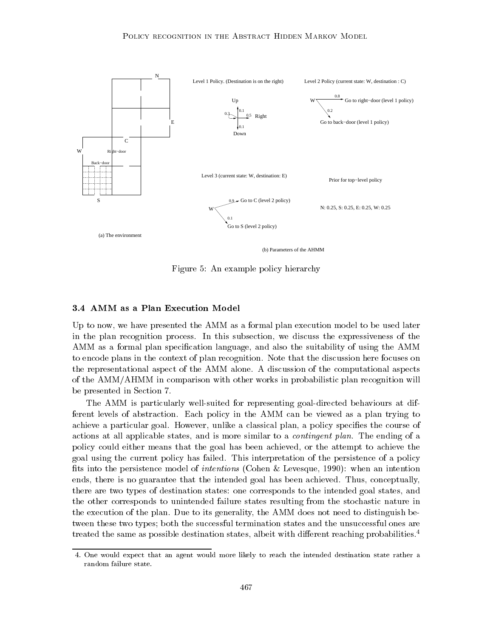

Figure 5: An example policy hierarchy

Up to now, we have presented the AMM as a formal plan execution model to be used later in the plan recognition process. In this subsection, we discuss the expressiveness of the AMM as a formal plan specication language, and also the suitability of using the AMM to encode plans in the context of plan recognition. Note that the discussion here focuses on the representational aspect of the AMM alone. A discussion of the computational aspects of the AMM/AHMM in comparison with other works in probabilistic plan recognition will be presented in Section 7.

The AMM is particularly well-suited for representing goal-directed behaviours at different levels of abstraction. Each policy in the AMM can be viewed as a plan trying to achieve a particular goal. However, unlike a classical plan, a policy species the course of actions at all applicable states, and is more similar to a contingent plan. The ending of a policy could either means that the goal has been achieved, or the attempt to achieve the goal using the current policy has failed. This interpretation of the persistence of a policy fits into the persistence model of *intentions* (Cohen & Levesque, 1990): when an intention ends, there is no guarantee that the intended goal has been achieved. Thus, conceptually, there are two types of destination states: one corresponds to the intended goal states, and the other corresponds to unintended failure states resulting from the stochastic nature in the execution of the plan. Due to its generality, the AMM does not need to distinguish between these two types; both the successful termination states and the unsuccessful ones are treated the same as possible destination states, albeit with different reaching probabilities.<sup>4</sup>

<sup>4.</sup> One would expect that an agent would more likely to reach the intended destination state rather a random failure state.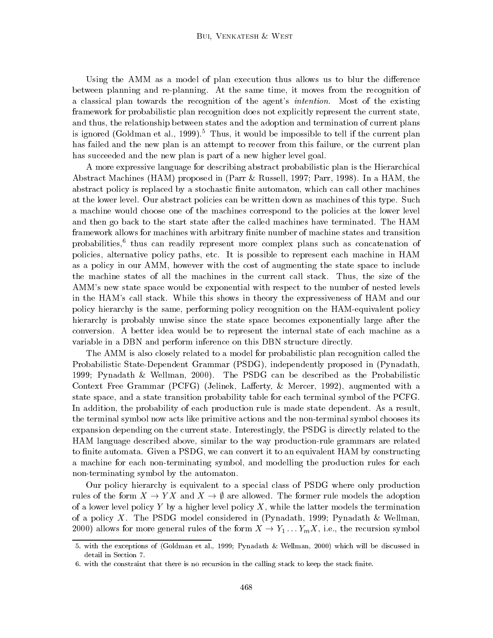Using the AMM as a model of plan execution thus allows us to blur the difference between planning and re-planning. At the same time, it moves from the recognition of a classical plan towards the recognition of the agent's intention. Most of the existing framework for probabilistic plan recognition does not explicitly represent the current state, and thus, the relationship between states and the adoption and termination of current plans is ignored (Goldman et al., 1999).<sup>5</sup> Thus, it would be impossible to tell if the current plan has failed and the new plan is an attempt to recover from this failure, or the current plan has succeeded and the new plan is part of a new higher level goal.

A more expressive language for describing abstract probabilistic plan is the Hierarchical Abstract Machines (HAM) proposed in (Parr & Russell, 1997; Parr, 1998). In a HAM, the abstract policy is replaced by a stochastic finite automaton, which can call other machines at the lower level. Our abstract policies can be written down as machines of this type. Such a machine would choose one of the machines correspond to the policies at the lower level and then go back to the start state after the called machines have terminated. The HAM framework allows for machines with arbitrary finite number of machine states and transition probabilities, thus can readily represent more complex plans such as concatenation of policies, alternative policy paths, etc. It is possible to represent each machine in HAM as a policy in our AMM, however with the cost of augmenting the state space to include the machine states of all the machines in the current call stack. Thus, the size of the AMM's new state space would be exponential with respect to the number of nested levels in the HAM's call stack. While this shows in theory the expressiveness of HAM and our policy hierarchy is the same, performing policy recognition on the HAM-equivalent policy hierarchy is probably unwise since the state space becomes exponentially large after the conversion. A better idea would be to represent the internal state of each machine as a variable in a DBN and perform inference on this DBN structure directly.

The AMM is also closely related to a model for probabilistic plan recognition called the Probabilistic State-Dependent Grammar (PSDG), independently proposed in (Pynadath, 1999; Pynadath & Wellman, 2000). The PSDG can be described as the Probabilistic Context Free Grammar (PCFG) (Jelinek, Lafferty,  $\&$  Mercer, 1992), augmented with a state space, and a state transition probability table for each terminal symbol of the PCFG. In addition, the probability of each production rule is made state dependent. As a result, the terminal symbol now acts like primitive actions and the non-terminal symbol chooses its expansion depending on the current state. Interestingly, the PSDG is directly related to the HAM language described above, similar to the way production-rule grammars are related to finite automata. Given a PSDG, we can convert it to an equivalent HAM by constructing a machine for each non-terminating symbol, and modelling the production rules for each non-terminating symbol by the automaton.

Our policy hierarchy is equivalent to a special class of PSDG where only production rules of the form  $X \to YX$  and  $X \to \emptyset$  are allowed. The former rule models the adoption of a lower level policy Y by a higher level policy X, while the latter models the termination of a policy X. The PSDG model considered in (Pynadath, 1999; Pynadath & Wellman, 2000) allows for more general rules of the form  $X \to Y_1 \dots Y_m X$ , i.e., the recursion symbol

<sup>5.</sup> with the exceptions of (Goldman et al., 1999; Pynadath & Wellman, 2000) which will be discussed in detail in Section 7.

<sup>6.</sup> with the constraint that there is no recursion in the calling stack to keep the stack finite.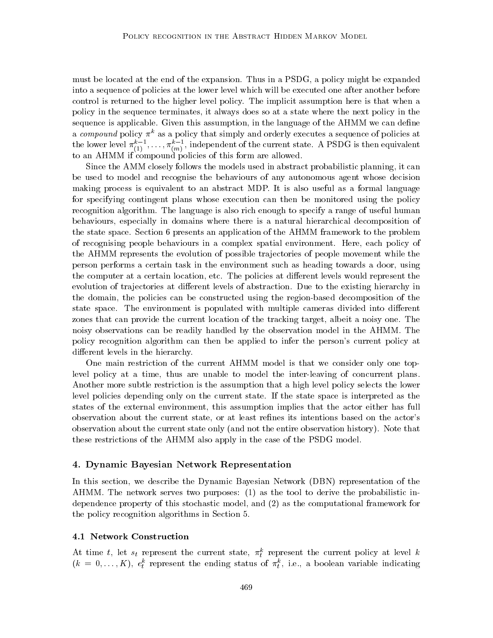must be located at the end of the expansion. Thus in a PSDG, a policy might be expanded into a sequence of policies at the lower level which will be executed one after another before control is returned to the higher level policy. The implicit assumption here is that when a policy in the sequence terminates, it always does so at a state where the next policy in the sequence is applicable. Given this assumption, in the language of the AHMM we can define a compound policy  $\pi^k$  as a policy that simply and orderly executes a sequence of policies at the lower level  $\pi_{(1)},\ldots,\pi_{(m)},$  independent of the current state. A PSDG is then equivalent to an AHMM if compound policies of this form are allowed.

Since the AMM closely follows the models used in abstract probabilistic planning, it can be used to model and recognise the behaviours of any autonomous agent whose decision making process is equivalent to an abstract MDP. It is also useful as a formal language for specifying contingent plans whose execution can then be monitored using the policy recognition algorithm. The language is also rich enough to specify a range of useful human behaviours, especially in domains where there is a natural hierarchical decomposition of the state space. Section 6 presents an application of the AHMM framework to the problem of recognising people behaviours in a complex spatial environment. Here, each policy of the AHMM represents the evolution of possible tra jectories of people movement while the person performs a certain task in the environment such as heading towards a door, using the computer at a certain location, etc. The policies at different levels would represent the evolution of trajectories at different levels of abstraction. Due to the existing hierarchy in the domain, the policies can be constructed using the region-based decomposition of the state space. The environment is populated with multiple cameras divided into different zones that can provide the current location of the tracking target, albeit a noisy one. The noisy observations can be readily handled by the observation model in the AHMM. The policy recognition algorithm can then be applied to infer the person's current policy at different levels in the hierarchy.

One main restriction of the current AHMM model is that we consider only one toplevel policy at a time, thus are unable to model the inter-leaving of concurrent plans. Another more subtle restriction is the assumption that a high level policy selects the lower level policies depending only on the current state. If the state space is interpreted asthe states of the external environment, this assumption implies that the actor either has full observation about the current state, or at least refines its intentions based on the actor's observation about the current state only (and not the entire observation history). Note that these restrictions of the AHMM also apply in the case of the PSDG model.

# 4. Dynamic Bayesian Network Representation

In this section, we describe the Dynamic Bayesian Network (DBN) representation of the AHMM. The network serves two purposes: (1) as the tool to derive the probabilistic independence property of this stochastic model, and (2) as the computational framework for the policy recognition algorithms in Section 5.

#### 4.1 Network Construction

At time  $t$ , let  $s_t$  represent the current state,  $\pi_t^+$  represent the current policy at level  $\kappa$  $(\kappa = 0, \ldots, K), \; e_t^{\tau}$  represent the ending status of  $\pi_t^{\tau}$ , i.e., a boolean variable indicating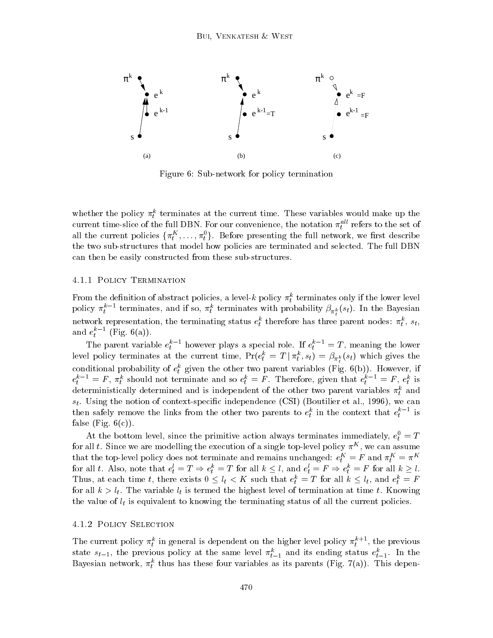

Figure 6: Sub-network for policy termination

whether the policy  $\pi_t$  terminates at the current time. These variables would make up the current time-slice of the full DBN. For our convenience, the notation  $\pi_t^{\ldots}$  refers to the set of an the current policies  $\{\pi_t^\tau,\ldots,\pi_t^\tau\}$ . Before presenting the full network, we first describe the two sub-structures that model how policies are terminated and selected. The full DBN can then be easily constructed from these sub-structures.

#### 4.1.1 Policy Termination

From the definition of abstract policies, a level-k policy  $\pi_t^*$  terminates only if the lower level policy  $\pi_t^+$  - terminates, and if so,  $\pi_t^+$  terminates with probability  $\beta_{\pi_t^k}(s_t)$ . In the Bayesian network representation, the terminating status  $e_t^*$  therefore has three parent nodes:  $\pi_t^*, s_t,$ and  $e_t^+$  (Fig. 0(a)).

The parent variable  $e_t^+$  – however plays a special role. If  $e_t^+ = \tau$ , meaning the lower level policy terminates at the current time,  $rr(e_t) = 1 + \pi_t, s_t) = \rho_{\pi_k^k}(s_t)$  which gives the conditional probability of  $e_t^*$  given the other two parent variables (Fig. 6(b)). However, if  $e_t^+$  =  $F$ ,  $\pi_t^+$  should not terminate and so  $e_t^+$  =  $F$ . Therefore, given that  $e_t^+$  =  $F$ ,  $e_t^+$  is deterministically determined and is independent of the other two parent variables  $\pi_t$  and  $s_t$ . Using the notion of context-specific independence (CSI) (Boutilier et al., 1996), we can then safely remove the links from the other two parents to  $e_t^*$  in the context that  $e_t^*$  - is false (Fig.  $6(c)$ ).

At the bottom level, since the primitive action always terminates immediately,  $e_t = I$ for all  $t$ . Since we are modelling the execution of a single top-level policy  $\pi^{\perp}$ , we can assume that the top-level policy does not terminate and remains unchanged:  $e_t^+ = r$  and  $\pi_t^- = \pi^+$ for all t. Also, note that  $e_t = 1 \Rightarrow e_t = 1$  for all  $\kappa \leq t$ , and  $e_t = r \Rightarrow e_t = r$  for all  $\kappa \geq t$ . Thus, at each time t, there exists  $0 \le t_t < K$  such that  $e_t^* = I$  for all  $\kappa \le t_t$ , and  $e_t^* = F$ the distribution is the variable limit is the second completed to the the communication at the form at the  $\alpha$ the value of  $\iota$  is equivalent to know value of all the terminating status of all the current policies.

# 4.1.2 Policy Selection

The current policy  $\pi_t^*$  in general is dependent on the higher level policy  $\pi_t^{++}$ , the previous state  $s_{t-1}$ , the previous policy at the same level  $\pi_{t-1}^k$  and its ending status  $e_{t-1}^k$ . In the Bayesian network,  $\pi_t^*$  thus has these four variables as its parents (Fig. 7(a)). This depen-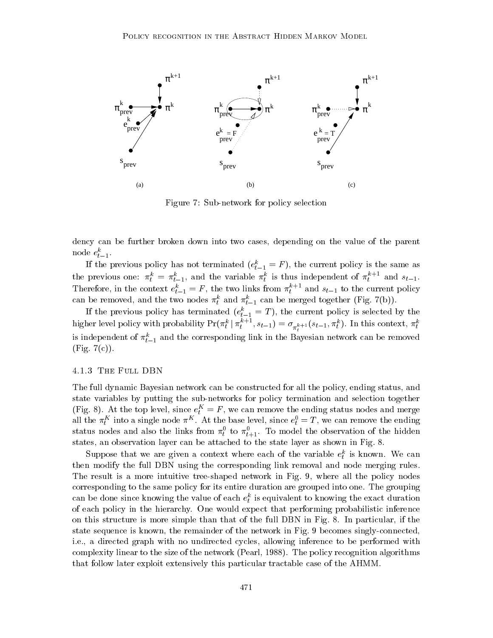

Figure 7: Sub-network for policy selection

dency can be further broken down into two cases, depending on the value of the parent node  $e_{t-1}$ .

If the previous policy has not terminated  $(e_{t-1}^z = r)$ , the current policy is the same as the previous one:  $\pi_t^* = \pi_{t-1}^*$ , and the variable  $\pi_t^*$  is thus independent of  $\pi_t^{*+1}$  and  $s_{t-1}$ . Therefore, in the context  $e_{t-1}^* = F$ , the two links from  $\pi_t^*$  and  $s_{t-1}$  to the current policy can be removed, and the two nodes  $\pi_t$  and  $\pi_{t-1}$  can be merged together (Fig. *(b))*.

If the previous policy has terminated  $(e_{t-1}^* = I)$ , the current policy is selected by the higher level policy with probability  $\Pr(\pi_t^* \mid \pi_t^{*+1}, s_{t-1}) = \sigma_{\pi_t^{k+1}}(s_{t-1}, \pi_t^*)$ . In this context,  $\pi_t^*$ is independent of  $\pi_{t-1}$  and the corresponding link in the Bayesian network can be removed  $(Fig. 7(c))$ .

#### 4.1.3 The Full DBN

The full dynamic Bayesian network can be constructed for all the policy, ending status, and state variables by putting the sub-networks for policy termination and selection together (Fig. 8). At the top level, since  $e_t^+ = r$  , we can remove the ending status nodes and merge all the  $\pi_t^\perp$  into a single node  $\pi^\perp$ . At the base level, since  $e_t^\perp = 1$  , we can remove the ending status nodes and also the links from  $\pi_t$  to  $\pi_{t+1}$ . To model the observation of the hidden states, an observation layer can be attached to the state layer as shown in Fig. 8.

Suppose that we are given a context where each of the variable  $e_t^*$  is known. We can then modify the full DBN using the corresponding link removal and node merging rules. The result is a more intuitive tree-shaped network in Fig. 9, where all the policy nodes corresponding to the same policy for its entire duration are grouped into one. The grouping can be done since knowing the value of each  $e_t^\tau$  is equivalent to knowing the exact duration of each policy in the hierarchy. One would expect that performing probabilistic inference on this structure is more simple than that of the full DBN in Fig.8. In particular, if the state sequence is known, the remainder of the network in Fig. 9 becomes singly-connected, i.e., a directed graph with no undirected cycles, allowing inference to be performed with complexity linear to the size of the network (Pearl, 1988). The policy recognition algorithms that follow later exploit extensively this particular tractable case of the AHMM.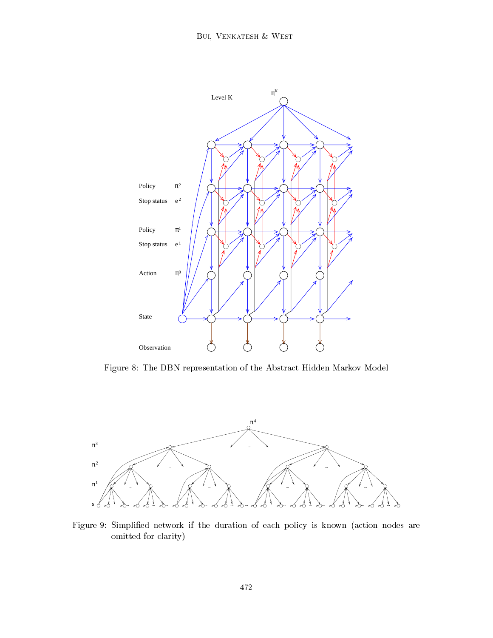

Figure 8: The DBN representation of the Abstract Hidden Markov Model



Figure 9: Simplied network if the duration of each policy is known (action nodes are omitted for clarity)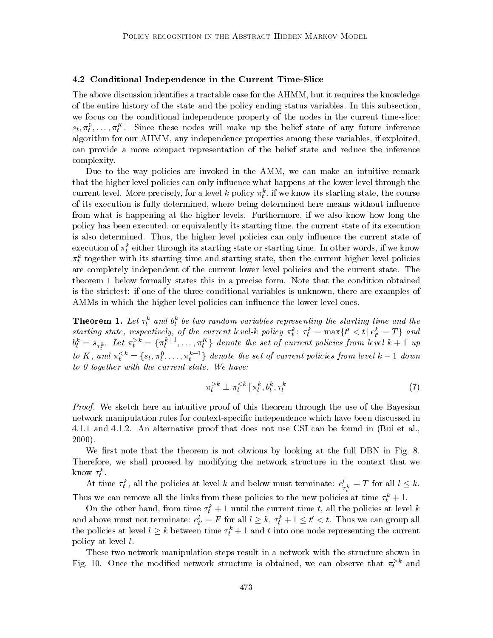#### 4.2 Conditional Independence in the Current Time-Slice

The above discussion identifies a tractable case for the AHMM, but it requires the knowledge of the entire history of the state and the policy ending status variables. In this subsection, we focus on the conditional independence property of the nodes in the current time-slice:  $s_t, \pi_t, \ldots, \pi_t$  since these nodes will make up the belief state of any future inference the contract of the contract of the contract of the contract of the contract of the contract of the contract of the contract of the contract of the contract of the contract of the contract of the contract of the contract of algorithm for our AHMM, any independence properties among these variables, if exploited, can provide a more compact representation of the belief state and reduce the inference complexity.

Due to the way policies are invoked in the AMM, we can make an intuitive remark that the higher level policies can only influence what happens at the lower level through the current level. More precisely, for a level  $\kappa$  policy  $\pi_t$ , if we know its starting state, the course of its execution is fully determined, where being determined here means without influence from what is happening at the higher levels. Furthermore, if we also know how long the policy has been executed, or equivalently its starting time, the current state of its execution is also determined. Thus, the higher level policies can only influence the current state of execution of  $\pi_t$  either through its starting state or starting time. In other words, if we know  $\pi_t$  together with its starting time and starting state, then the current higher level policies are completely independent of the current lower level policies and the current state. The theorem 1 below formally states this in a precise form. Note that the condition obtained is the strictest: if one of the three conditional variables is unknown, there are examples of AMMs in which the higher level policies can influence the lower level ones.

**Theorem 1.** Let  $\tau_i$  and  $\sigma_i$  be two  $t$  and by two random variables representing the starting time and the starting  $\tau$ starting state, respectively, of the current level-k policy  $\pi_i$ :  $\tau_i = \max\{t < t | e_{t'} = 1\}$  and  $b_t^* = s_{\tau_t^k}$ . Let  $\pi_t^*$   $\bar{} = \{\pi_t^*$   $\bar{}$  ,..., $\pi_t^*$  } denote the set of current policies from level  $\kappa+1$  up to K, and  $\pi_t^{\ldots} = \{s_t, \pi_t^{\ldots}, \ldots, \pi_t^{\ldots}\}$  denote the set of current policies from level  $\kappa - 1$  down to  $0$  together with the current state. We have:

$$
\pi_t^{>k} \perp \pi_t^{
$$

Proof. We sketch here an intuitive proof of this theorem through the use of the Bayesian network manipulation rules for context-specific independence which have been discussed in 4.1.1 and 4.1.2. An alternative proof that does not use CSI can be found in (Bui et al., 2000).

We first note that the theorem is not obvious by looking at the full DBN in Fig. 8. Therefore, we shall proceed by modifying the network structure in the context that we KHOW  $\tau_t$ .

At time  $\tau_t^{\ldots}$ , all the policies at level  $\kappa$  and below must terminate:  $e_{\tau_t^k} = I$  for all  $t \leq \kappa$ . Thus we can remove an the links from these policies to the new policies at time  $\tau_t^+ + 1$ .

On the other hand, from time  $\tau_t^+ + 1$  until the current time  $t$ , all the policies at level  $\kappa$ and above must not terminate:  $e_{t'} = r$  for all  $t \geq \kappa$ ,  $\tau_t + 1 \leq t \leq t$ . Thus we can group all the policies at level  $l \geq k$  between time  $\tau_t^k + 1$  and t into one node representing the current policy at level l.

These two network manipulation steps result in a network with the structure shown in Fig. 10. Once the modified network structure is obtained, we can observe that  $\pi_t^{\ldots}$  and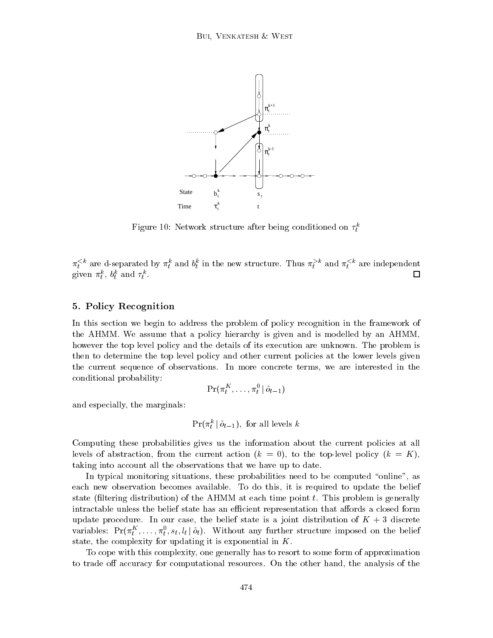

Figure 10: Network structure after being conditioned on  $\tau_t^k$ 

 $\pi_t$ <sup>\*\*</sup> are d-separated by  $\pi_t^*$  and  $\sigma_t^*$  in the new structure. Thus  $\pi_t^*$  and  $\pi_t^*$  are independent  $\Box$ given  $\pi_t$ ,  $\sigma_t$  and  $\tau_t$ .

# 5. Policy Recognition

In this section we begin to address the problem of policy recognition in the framework of the AHMM. We assume that a policy hierarchy is given and is modelled by an AHMM, however the top level policy and the details of its execution are unknown. The problem is then to determine the top level policy and other current policies at the lower levels given the current sequence of observations. In more concrete terms, we are interested in the conditional probability:

$$
\Pr(\pi_t^K,\ldots,\pi_t^0 \,|\, \tilde{o}_{t-1})
$$

and especially, the marginals:

$$
\Pr(\pi_t^k | \tilde{o}_{t-1}), \text{ for all levels } k
$$

<sup>t</sup>

Computing these probabilities gives us the information about the current policies at all levels of abstraction, from the current action  $(k = 0)$ , to the top-level policy  $(k = K)$ , taking into account all the observations that we have up to date.

In typical monitoring situations, these probabilities need to be computed "online", as each new observation becomes available. To do this, it is required to update the belief state (filtering distribution) of the AHMM at each time point  $t$ . This problem is generally intractable unless the belief state has an efficient representation that affords a closed form update procedure. In our case, the belief state is a joint distribution of  $K + 3$  discrete variables:  $Pr(\pi_t, \ldots, \pi_t, s_t, t_t | o_t)$ . Without any further structure imposed on the belief state, the complexity for updating it is exponential in K.

To cope with this complexity, one generally has to resort to some form of approximation to trade off accuracy for computational resources. On the other hand, the analysis of the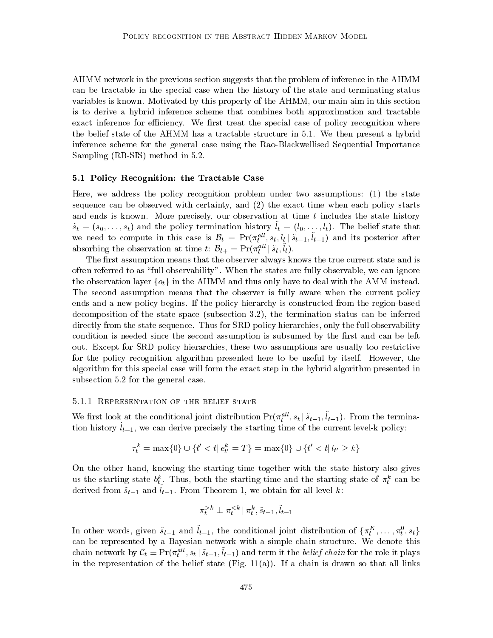AHMM network in the previous section suggests that the problem of inference in the AHMM can be tractable in the special case when the history of the state and terminating status variables is known. Motivated by this property of the AHMM, our main aim in this section is to derive a hybrid inference scheme that combines both approximation and tractable exact inference for efficiency. We first treat the special case of policy recognition where the belief state of the AHMM has a tractable structure in 5.1. We then present a hybrid inference scheme for the general case using the Rao-Blackwellised Sequential Importance Sampling (RB-SIS) method in 5.2.

#### 5.1 Policy Recognition: the Tractable Case

Here, we address the policy recognition problem under two assumptions: (1) the state sequence can be observed with certainty, and (2) the exact time when each policy starts and ends is known. More precisely, our observation at time  $t$  includes the state history  $s_t = (s_0, \ldots, s_t)$  and the policy termination history  $t_t = (t_0, \ldots, t_t)$ . The belief state that we need to compute in this case is  $D_t = Pr(\pi_t^T, s_t, t_t | s_{t-1}, t_{t-1})$  and its posterior after absorbing the observation at time t:  $\mathcal{B}_{t+} = \Pr(\pi_t^{all} | \tilde{s}_t, \tilde{l}_t).$ 

The first assumption means that the observer always knows the true current state and is often referred to as \full observability". When the states are fully observable, we can ignore the observation layer  $\{o_t\}$  in the AHMM and thus only have to deal with the AMM instead. The second assumption means that the observer is fully aware when the current policy ends and a new policy begins. If the policy hierarchy is constructed from the region-based decomposition of the state space (subsection 3.2), the termination status can be inferred directly from the state sequence. Thus for SRD policy hierarchies, only the full observability condition is needed since the second assumption is subsumed by the first and can be left out. Except for SRD policy hierarchies, these two assumptions are usually too restrictive for the policy recognition algorithm presented here to be useful by itself. However, the algorithm for this special case will form the exact step in the hybrid algorithm presented in subsection 5.2 for the general case.

#### 5.1.1 Representation of the belief state

We first look at the conditional joint distribution  $Pr(\pi_t^*, s_t | s_{t-1}, t_{t-1})$ . From the termination mistory  $v_{t-1}$ , we can derive precisely the starting time of the current level-k policy.

$$
\tau^k_t = \max\{0\} \cup \{t' < t | e^k_{t'} = T\} = \max\{0\} \cup \{t' < t | l_{t'} \ge k\}
$$

On the other hand, knowing the starting time together with the state history also gives us the starting state  $\theta_t$ . Thus, both the starting time and the starting state of  $\pi_t$  can be derived from  $s_{t-1}$  and  $t_{t-1}$ . From Theorem 1, we obtain for all level  $\kappa$ .

$$
\pi_t^{>k} \perp \pi_t^{
$$

In other words, given  $s_{t-1}$  and  $t_{t-1}$ , the conditional joint distribution of  $\{\pi_t\}, \ldots, \pi_t, s_t\}$ can be represented by a Bayesian network with a simple chain structure. We denote this chain network by  $C_t = \Pr(\pi_t^{\dots}, s_t \mid s_{t-1}, t_{t-1})$  and term it the *better chain* for the role it plays in the representation of the belief state (Fig.  $11(a)$ ). If a chain is drawn so that all links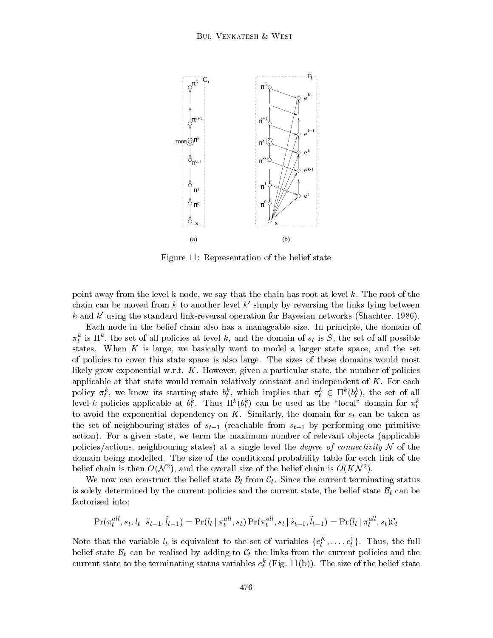

Figure 11: Representation of the belief state

point away from the level-k node, we say that the chain has root at level k. The root of the chain can be moved from  $k$  to another level  $k'$  simply by reversing the links lying between k and  $k'$  using the standard link-reversal operation for Bayesian networks (Shachter, 1986).

Each node in the belief chain also has a manageable size. In principle, the domain of  $\pi_t$  is if , the set of all policies at level  $\kappa$ , and the domain of  $s_t$  is  $s$ , the set of all possible states. When  $K$  is large, we basically want to model a larger state space, and the set of policies to cover this state space is also large. The sizes of these domains would most likely grow exponential w.r.t.  $K$ . However, given a particular state, the number of policies applicable at that state would remain relatively constant and independent of  $K$ . For each policy  $\pi_t^*$ , we know its starting state  $\sigma_t^*$ , which implies that  $\pi_t^* \in \Pi^*(\theta_t^*)$ , the set of all level-k policies applicable at  $v_t^*$ . Thus  $\mathbf{h}^*(v_t^*)$  can be used as the  $\log a$  domain for  $\pi_t^*$ to avoid the exponential dependency on K. Similarly, the domain for  $s_t$  can be taken as the set of neighbouring states of  $s_{t-1}$  (reachable from  $s_{t-1}$  by performing one primitive action). For a given state, we term the maximum number of relevant objects (applicable policies/actions, neighbouring states) at a single level the *degree of connectivity*  $N$  of the domain being modelled. The size of the conditional probability table for each link of the belief chain is then  $O(N^2)$ , and the overall size of the belief chain is  $O(NN^2)$ .

We now can construct the belief state  $\mathcal{B}_t$  from  $\mathcal{C}_t$ . Since the current terminating status is solely determined by the current policies and the current state, the belief state  $B_t$  can be factorised into:

$$
\Pr(\pi_t^{all}, s_t, l_t | \tilde{s}_{t-1}, \tilde{l}_{t-1}) = \Pr(l_t | \pi_t^{all}, s_t) \Pr(\pi_t^{all}, s_t | \tilde{s}_{t-1}, \tilde{l}_{t-1}) = \Pr(l_t | \pi_t^{all}, s_t) \mathcal{C}_t
$$

Note that the variable  $t_t$  is equivalent to the set of variables  $\{e_t^{\perp},\ldots,e_t^{\perp}\}\$ . Thus, the full belief state  $B_t$  can be realised by adding to  $C_t$  the links from the current policies and the current state to the terminating status variables  $e_t^+$  (Fig. 11(b)). The size of the belief state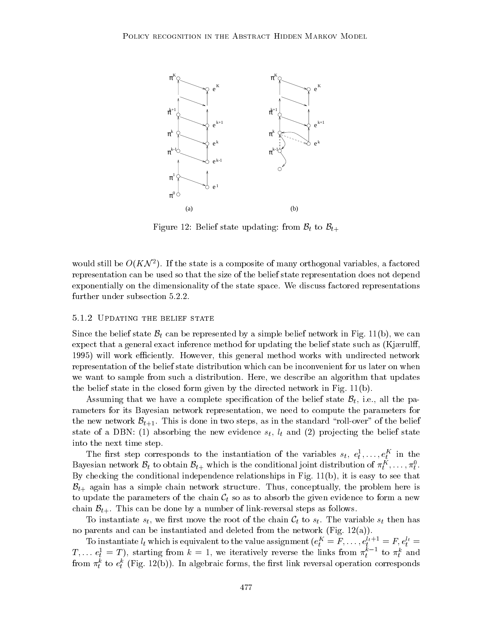

Figure 12: Belief state updating: from  $\mathcal{B}_t$  to  $\mathcal{B}_{t+}$ 

would still be  $O(NN-1)$ . If the state is a composite of many orthogonal variables, a factored representation can be used so that the size of the belief state representation does not depend exponentially on the dimensionality of the state space. We discuss factored representations further under subsection 5.2.2.

# 5.1.2 Updating the belief state

Since the belief state  $\mathcal{B}_t$  can be represented by a simple belief network in Fig. 11(b), we can expect that a general exact inference method for updating the belief state such as  $(Kjærulf,$ 1995) will work efficiently. However, this general method works with undirected network representation of the belief state distribution which can be inconvenient for us later on when we want to sample from such a distribution. Here, we describe an algorithm that updates the belief state in the closed form given by the directed network in Fig. 11(b).

Assuming that we have a complete specification of the belief state  $\mathcal{B}_t$ , i.e., all the parameters for its Bayesian network representation, we need to compute the parameters for the new network  $\mathcal{B}_{t+1}$ . This is done in two steps, as in the standard "roll-over" of the belief state of a DBN: (2) absorbing the new evidence style , let  $\sim$  let  $\sim$  let  $\sim$   $\sim$ into the next time step.

The first step corresponds to the instantiation of the variables  $s_t, e_t^*, \ldots, e_t^*$  in the Bayesian network  $\mathcal{D}_t$  to obtain  $\mathcal{D}_{t+}$  which is the conditional joint distribution of  $\pi_t^\bot,\ldots,\pi_t^\bot.$ By checking the conditional independence relationships in Fig. 11(b), it is easy to see that  $B_{t+}$  again has a simple chain network structure. Thus, conceptually, the problem here is to update the parameters of the chain  $C_t$  so as to absorb the given evidence to form a new chain  $\mathcal{B}_{t+}$ . This can be done by a number of link-reversal steps as follows.

To instantiate  $s_t$ , we first move the root of the chain  $\mathcal{C}_t$  to  $s_t$ . The variable  $s_t$  then has no parents and can be instantiated and deleted from the network (Fig. 12(a)).

To instantiate  $t_t$  which is equivalent to the value assignment  $(e_t^{\perp} = F, \ldots, e_t^{\perp} = F, e_t^{\perp} =$  $T_1,\ldots e_t^*=T$ ), starting from  $\kappa=1$ , we iteratively reverse the links from  $\pi_t^*$  to  $\pi_t^*$  and from  $\pi_t^*$  to  $e_t^*$  (Fig. 12(b)). In algebraic forms, the first link reversal operation corresponds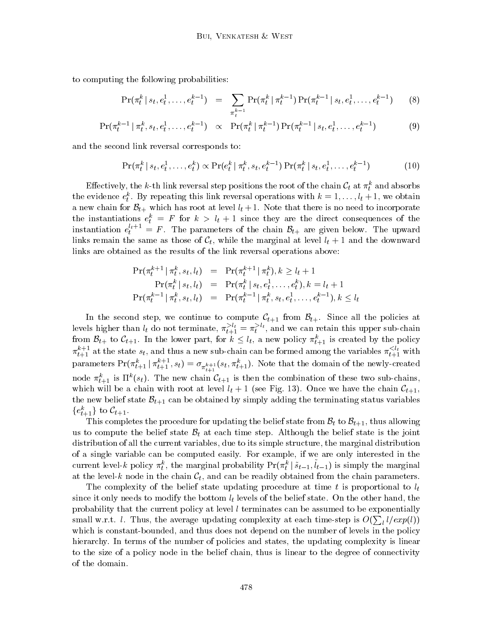to computing the following probabilities:

$$
\Pr(\pi_t^k \mid s_t, e_t^1, \dots, e_t^{k-1}) = \sum_{\pi_t^{k-1}} \Pr(\pi_t^k \mid \pi_t^{k-1}) \Pr(\pi_t^{k-1} \mid s_t, e_t^1, \dots, e_t^{k-1}) \tag{8}
$$

$$
\Pr(\pi_t^{k-1} \mid \pi_t^k, s_t, e_t^1, \dots, e_t^{k-1}) \quad \propto \quad \Pr(\pi_t^k \mid \pi_t^{k-1}) \Pr(\pi_t^{k-1} \mid s_t, e_t^1, \dots, e_t^{k-1}) \tag{9}
$$

and the second link reversal corresponds to:

$$
\Pr(\pi_t^k \mid s_t, e_t^1, \dots, e_t^k) \propto \Pr(e_t^k \mid \pi_t^k, s_t, e_t^{k-1}) \Pr(\pi_t^k \mid s_t, e_t^1, \dots, e_t^{k-1})
$$
(10)

Effectively, the  $\kappa$ -th link reversal step positions the root of the chain  $C_t$  at  $\pi_t^\tau$  and absorbs the evidence  $e_t^*$ . By repeating this link reversal operations with  $\kappa = 1, \ldots, t_t + 1$ , we obtain a new chain for  $D_{t+}$  which has root at level  $t_t \pm 1$ . Trote that there is no need to incorporate the instantiations  $e_t^+ = r$  for  $\kappa > t_t + 1$  since they are the direct consequences of the instantiation  $e_t^{i+1} = F$ . The parameters of the chain  $\mathcal{B}_{t+}$  are given below. The upward  $\lim_{t \to \infty}$  remain the same as those of  $C_t$ , while the marginal at level  $t_t \pm 1$  and the downward links are obtained as the results of the link reversal operations above:

$$
\Pr(\pi_t^{k+1} | \pi_t^k, s_t, l_t) = \Pr(\pi_t^{k+1} | \pi_t^k), k \ge l_t + 1
$$
\n
$$
\Pr(\pi_t^k | s_t, l_t) = \Pr(\pi_t^k | s_t, e_t^1, \dots, e_t^k), k = l_t + 1
$$
\n
$$
\Pr(\pi_t^{k-1} | \pi_t^k, s_t, l_t) = \Pr(\pi_t^{k-1} | \pi_t^k, s_t, e_t^1, \dots, e_t^{k-1}), k \le l_t
$$

In the second step, we continue to compute  $\mathcal{C}_{t+1}$  from  $\mathcal{B}_{t+1}$ . Since all the policies at levels higher than  $l_t$  do not terminate,  $\pi_{t+1} = \pi_t^{t-c}$ , and we can retain this upper sub-chain from  $\mathcal{D}_{t+1}$  to  $\mathcal{C}_{t+1}$ . In the lower part, for  $\kappa \leq t_t$ , a new policy  $\pi_{t+1}$  is created by the policy  $\pi_{t+1}^+$  at the state  $s_t,$  and thus a new sub-chain can be formed among the variables  $\pi_{t+1}^+$  with parameters  $\Pr(\pi^*_{t+1} \,|\, \pi_{t+1} \,, s_t) = \sigma_{\pi^{k+1}_{t+1}}(s_t, \pi^*_{t+1}).$  Note that the domain of the newly-created hode  $\pi_{t+1}^*$  is if  $(s_t)$ . The new chain  $c_{t+1}$  is then the combination of these two sub-chains, which will be a chain with root at level  $t_t$   $\tau$  1 (see Fig. 13). Once we have the chain  $C_{t+1}$ , the new belief state  $\mathcal{B}_{t+1}$  can be obtained by simply adding the terminating status variables  $\{e_{t+1}\}\,$  to  $C_{t+1}$ .

This completes the procedure for updating the belief state from  $\mathcal{B}_t$  to  $\mathcal{B}_{t+1}$ , thus allowing us to compute the belief state  $B_t$  at each time step. Although the belief state is the joint distribution of all the current variables, due to its simple structure, the marginal distribution of a single variable can be computed easily. For example, if we are only interested in the current level-k policy  $\pi_t$ , the marginal probability  $\Pr(\pi_t^* \mid s_{t-1}, \iota_{t-1})$  is simply the marginal <sup>t</sup> at the level-k node in the chain  $\mathcal{C}_t$ , and can be readily obtained from the chain parameters.

The complexity of the belief state updating procedure at time  $t$  is proportional to  $l_t$ t it is only the bottom lower than  $\gamma$  the bottom lyse levels of the bottom lower state states movement, the o probability that the current policy at level  $l$  terminates can be assumed to be exponentially small w.r.t. *l*. Thus, the average updating complexity at each time-step is  $O(\sum_{l} l / exp(l))$ which is constant-bounded, and thus does not depend on the number of levels in the policy hierarchy. In terms of the number of policies and states, the updating complexity is linear to the size of a policy node in the belief chain, thus is linear to the degree of connectivity of the domain.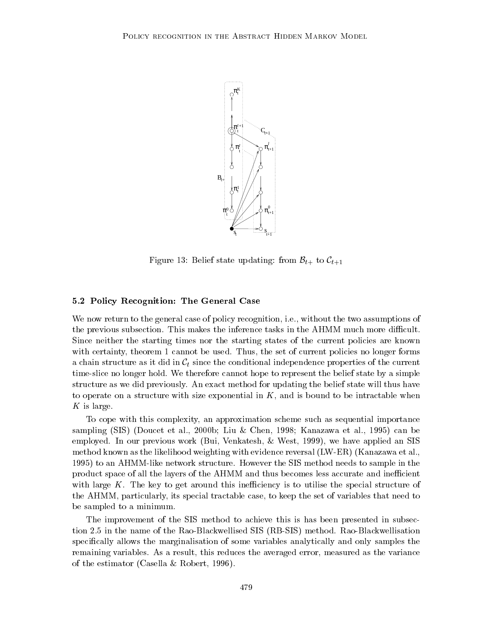

Figure 13: Belief state updating: from  $\mathcal{B}_{t+}$  to  $\mathcal{C}_{t+1}$ 

# 5.2 Policy Recognition: The General Case

We now return to the general case of policy recognition, i.e., without the two assumptions of the previous subsection. This makes the inference tasks in the AHMM much more difficult. Since neither the starting times nor the starting states of the current policies are known with certainty, theorem 1 cannot be used. Thus, the set of current policies no longer forms a chain structure as it did in  $\mathcal{C}_t$  since the conditional independence properties of the current time-slice no longer hold. We therefore cannot hope to represent the belief state by a simple structure as we did previously. An exact method for updating the belief state will thus have to operate on a structure with size exponential in  $K$ , and is bound to be intractable when K is large.

To cope with this complexity, an approximation scheme such as sequential importance sampling (SIS) (Doucet et al., 2000b; Liu & Chen, 1998; Kanazawa et al., 1995) can be employed. In our previous work (Bui, Venkatesh, & West, 1999), we have applied an SIS method known as the likelihood weighting with evidence reversal (LW-ER) (Kanazawa et al., 1995) to an AHMM-like network structure. However the SIS method needs to sample in the product space of all the layers of the AHMM and thus becomes less accurate and inefficient with large K. The key to get around this inefficiency is to utilise the special structure of the AHMM, particularly, its special tractable case, to keep the set of variables that need to be sampled to a minimum.

The improvement of the SIS method to achieve this is has been presented in subsection 2.5 in the name of the Rao-Blackwellised SIS (RB-SIS) method. Rao-Blackwellisation specically allows the marginalisation of some variables analytically and only samples the remaining variables. As a result, this reduces the averaged error, measured as the variance of the estimator (Casella & Robert, 1996).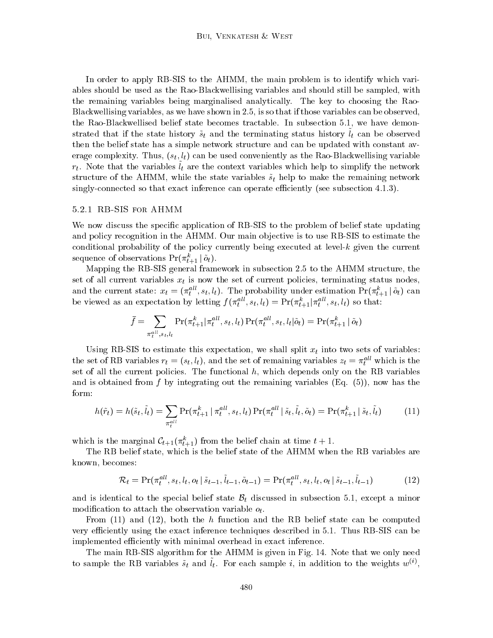In order to apply RB-SIS to the AHMM, the main problem is to identify which variables should be used as the Rao-Blackwellising variables and should still be sampled, with the remaining variables being marginalised analytically. The key to choosing the Rao-Blackwellising variables, as we have shown in 2.5, is so that if those variables can be observed, the Rao-Blackwellised belief state becomes tractable. In subsection 5.1, we have demonstrated that if the state history  $s_t$  and the terminating status history  $\iota_t$  can be observed then the belief state has a simple network structure and can be updated with constant average complexity. Thus,  $(s_t, l_t)$  can be used conveniently as the Rao-Blackwellising variable  $t_i$ . In the carracter  $t_i$  are the context variables which help to simplify the network structure of the AHMM, while the state variables  $\tilde{s}_t$  help to make the remaining network singly-connected so that exact inference can operate efficiently (see subsection  $4.1.3$ ).

#### 5.2.1 RB-SIS for AHMM

We now discuss the specific application of RB-SIS to the problem of belief state updating and policy recognition in the AHMM. Our main objective is to use RB-SIS to estimate the conditional probability of the policy currently being executed at level- $k$  given the current sequence of observations  $Pr(\pi_{t+1} | o_t).$ 

Mapping the RB-SIS general framework in subsection 2.5 to the AHMM structure, the set of all current variables  $x_t$  is now the set of current policies, terminating status nodes, and the current state:  $x_t = (\pi_{t-}, s_t, t_t)$ . The probability under estimation  $Pr(\pi_{t+1} | o_t)$  can be viewed as an expectation by letting  $f(\pi_t^{\ldots}, s_t, t_t) = \Pr(\pi_{t+1}^{\ldots}, s_t, t_t)$  so that:

$$
\bar{f} = \sum_{\pi_t^{all}, s_t, l_t} \Pr(\pi_{t+1}^k | \pi_t^{all}, s_t, l_t) \Pr(\pi_t^{all}, s_t, l_t | \tilde{o}_t) = \Pr(\pi_{t+1}^k | \tilde{o}_t)
$$

Using RB-SIS to estimate this expectation, we shall split  $x_t$  into two sets of variables: the set of  $\Delta B$  variables  $r_t = (s_t, t_t)$ , and the set of remaining variables  $z_t = \pi_t^{\dots}$  which is the set of all the current policies. The functional  $h$ , which depends only on the RB variables and is obtained from f by integrating out the remaining variables  $(Eq. (5))$ , now has the form:

$$
h(\tilde{r}_t) = h(\tilde{s}_t, \tilde{l}_t) = \sum_{\pi_t^{all}} \Pr(\pi_{t+1}^k | \pi_t^{all}, s_t, l_t) \Pr(\pi_t^{all} | \tilde{s}_t, \tilde{l}_t, \tilde{o}_t) = \Pr(\pi_{t+1}^k | \tilde{s}_t, \tilde{l}_t)
$$
(11)

which is the marginal  $C_{t+1}(\pi_{t+1})$  from the belief chain at time  $t + 1$ .

The RB belief state, which is the belief state of the AHMM when the RB variables are known, becomes:

$$
\mathcal{R}_t = \Pr(\pi_t^{all}, s_t, l_t, o_t | \tilde{s}_{t-1}, \tilde{l}_{t-1}, \tilde{o}_{t-1}) = \Pr(\pi_t^{all}, s_t, l_t, o_t | \tilde{s}_{t-1}, \tilde{l}_{t-1})
$$
(12)

and is identical to the special belief state  $B_t$  discussed in subsection 5.1, except a minor modification to attach the observation variable  $o_t$ .

From  $(11)$  and  $(12)$ , both the h function and the RB belief state can be computed very efficiently using the exact inference techniques described in 5.1. Thus RB-SIS can be implemented efficiently with minimal overhead in exact inference.

The main RB-SIS algorithm for the AHMM is given in Fig. 14. Note that we only need to sample the RB variables  $s_t$  and  $t_t$ . For each sample  $i$ , in addition to the weights  $w^{\gamma}$ ,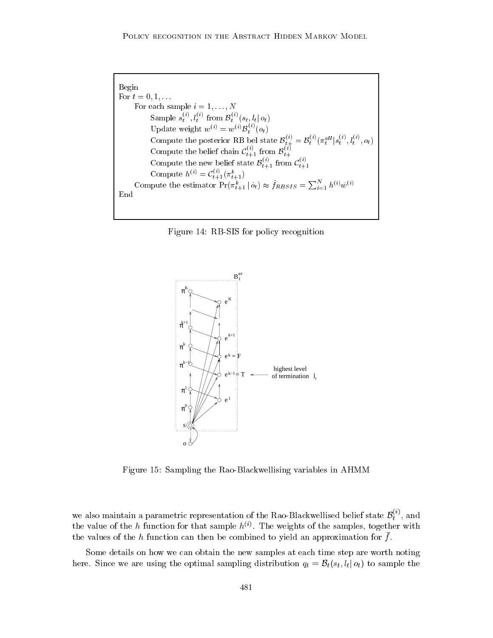```
Begin
For t = 0, 1, \ldotsFor each sample i=1,\ldots,NSample s_t^{\cdots}, l_t^{\cdots} from \mathcal{B}_t^{\cdots}(s_t, l_t | o_t)Update weight w^{(i)} = w^{(i)} \mathcal{B}_{t}^{(i)}(o_t)t \simCompute the posterior RB bel state \mathcal{B}_{t+}^{\{v\}} = \mathcal{B}_t^{\{v\}}(\pi_t^{uu} | s_t^{\{v\}}, \ell_t^{\{v\}}, o_t)Compute the belief chain \mathcal{C}_{t+1}^{\leftrightarrow} from \mathcal{B}_{t+1}^{\leftrightarrow}Compute the new belief state \mathcal{B}_{t+1}^{\scriptscriptstyle (\vee)} from \mathcal{C}_{t+1}^{\scriptscriptstyle (\vee)}Compute h^{(i)} = C_{t+1}^{\gamma}(\pi_{t+1}^n)Compute the estimator Pr(\pi_{t+1}^k | \tilde{o}_t) \approx f_{RBSIS} = \sum_{i=1}^N h^{(i)} \tilde{w}^{(i)}End
```




Figure 15: Sampling the Rao-Blackwellising variables in AHMM

we also maintain a parametric representation of the Rao-Blackwellised belief state  $\mathcal{B}_i^{(1)}$ , and  $\iota$  and  $\iota$ the value of the h function for that sample  $h^{(i)}$ . The weights of the samples, together with the values of the  $\mu$  function can then be combined to yield an approximation for  $\mu$ .

Some details on how we can obtain the new samples at each time step are worth noting here. Since we are using the optimal sampling distribution  $q_t = \mathcal{B}_t(s_t, l_t | o_t)$  to sample the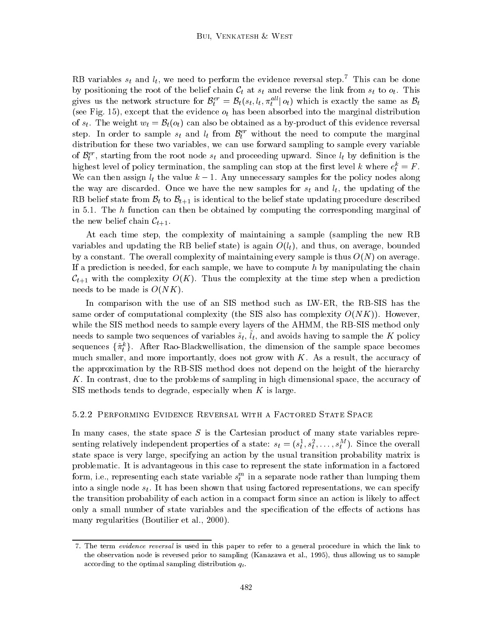KD variables  $s_t$  and  $\iota_t$ , we need to perform the evidence reversal step. This can be done by positioning the root of the belief chain  $\mathcal{C}_t$  at  $s_t$  and reverse the link from  $s_t$  to  $o_t$ . This gives us the network structure for  $b_t^+ = b_t(s_t, u_t, \pi_t^- | o_t)$  which is exactly the same as  $b_t^-$ (see Fig. 15), except that the evidence  $o_t$  has been absorbed into the marginal distribution of  $s_t$ . The weight  $w_t = \mathcal{B}_t(o_t)$  can also be obtained as a by-product of this evidence reversal step. In order to sample  $s_t$  and  $t_t$  from  $\mathcal{D}_t^+$  without the need to compute the marginal distribution for these two variables, we can use forward sampling to sample every variable of  $\mathcal{D}_t^+$ , starting from the root node  $s_t$  and proceeding upward. Since  $\iota_t$  by definition is the mighest level of policy termination, the sampling can stop at the first level  $\kappa$  where  $e_t^+ = r$  . We can then assign  $t_i$  the value  $\kappa = 1$ . Any unnecessary samples for the policy nodes along the way are discarded the new samples for state  $\mathbf{r}$  and let updating of the updating of the updating of the updating of the updating of the updating of the updating of the updating of the updating of the updating of RB belief state from  $\mathcal{B}_t$  to  $\mathcal{B}_{t+1}$  is identical to the belief state updating procedure described in 5.1. The  $h$  function can then be obtained by computing the corresponding marginal of the new belief chain  $\mathcal{C}_{t+1}$ .

At each time step, the complexity of maintaining a sample (sampling the new RB variables and updating the RB belief state state) is again O(li), and thus, on average, on average, bounded th by a constant. The overall complexity of maintaining every sample is thus  $O(N)$  on average. If a prediction is needed, for each sample, we have to compute  $h$  by manipulating the chain  $\mathcal{C}_{t+1}$  with the complexity  $O(K)$ . Thus the complexity at the time step when a prediction needs to be made is  $O(NK)$ .

In comparison with the use of an SIS method such as LW-ER, the RB-SIS has the same order of computational complexity (the SIS also has complexity  $O(NK)$ ). However, while the SIS method needs to sample every layers of the AHMM, the RB-SIS method only  $\mu$  and  $\mu$  is a sequence of variables  $s_t$ ,  $t_t$ , and avoids having to sample the  $K$  policy sequences  $\{\pi_t^r\}$ . After Rao-Blackwellisation, the dimension of the sample space becomes much smaller, and more importantly, does not grow with  $K$ . As a result, the accuracy of the approximation by the RB-SIS method does not depend on the height of the hierarchy K. In contrast, due to the problems of sampling in high dimensional space, the accuracy of SIS methods tends to degrade, especially when  $K$  is large.

#### 5.2.2 Performing Evidence Reversal with a Factored State Space

In many cases, the state space  $S$  is the Cartesian product of many state variables representing relatively independent properties of a state:  $s_t = (s_t, s_t, \ldots, s_t)$ . Since the overall state space is very large, specifying an action by the usual transition probability matrix is problematic. It is advantageous in this case to represent the state information in a factored form, i.e., representing each state variable  $s_t^{\ldots}$  in a separate node rather than lumping them into a single node  $s_t$ . It has been shown that using factored representations, we can specify the transition probability of each action in a compact form since an action is likely to affect only a small number of state variables and the specification of the effects of actions has many regularities (Boutilier et al., 2000).

<sup>7.</sup> The term evidence reversal is used in this paper to refer to a general procedure in which the link to the observation node is reversed prior to sampling (Kanazawa et al., 1995), thus allowing us to sample according to the optimal sampling distribution  $q_t$ .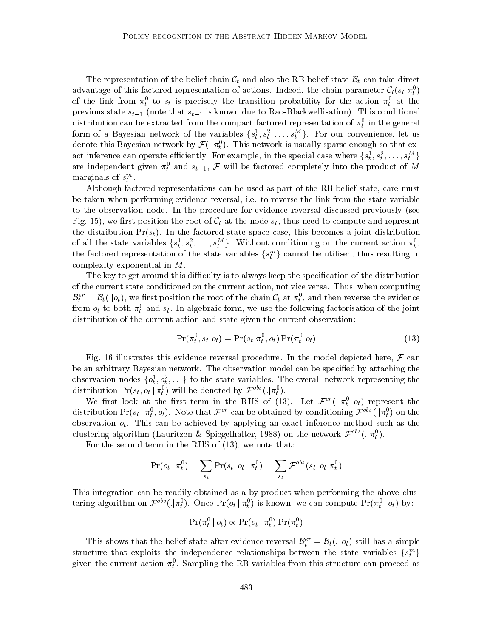The representation of the belief chain  $\mathcal{C}_t$  and also the RB belief state  $\mathcal{B}_t$  can take direct advantage of this factored representation of actions. Indeed, the chain parameter  $\bm{\mathcal{C}}_t(s_t|\pi_t)$ of the link from  $\pi_t$  to  $s_t$  is precisely the transition probability for the action  $\pi_t$  at the previous state  $s_{t-1}$  (note that  $s_{t-1}$  is known due to Rao-Blackwellisation). This conditional distribution can be extracted from the compact factored representation of  $\pi_t^+$  in the general form of a Bayesian network of the variables  $\{s_t^r, s_t^r, \ldots, s_t^r\}$ . For our convenience, let us denote this Bayesian network by  $\mathcal{F}(.|\pi_t^0)$ . This network is usually sparse enough so that exact inference can operate emciently. For example, in the special case where  $\{s_t^-,s_t^-,\ldots,s_t^+\}$ are independent given  $\pi_t^0$  and  $s_{t-1}$ ,  $\mathcal F$  will be factored completely into the product of  $M$ marginals of  $s_t^m$ .

Although factored representations can be used as part of the RB belief state, care must be taken when performing evidence reversal, i.e. to reverse the link from the state variable to the observation node. In the procedure for evidence reversal discussed previously (see Fig. 15), we first position the root of  $C_t$  at the node  $s_t$ , thus need to compute and represent the distribution  $Pr(s_t)$ . In the factored state space case, this becomes a joint distribution of all the state variables  $\{s_t^r, s_t^r, \ldots, s_t^r\}$ . Without conditioning on the current action  $\pi_t$ , the factored representation of the state variables  $\{s_t^{\ldots}\}$  cannot be utilised, thus resulting in complexity exponential in M.

The key to get around this difficulty is to always keep the specification of the distribution of the current state conditioned on the current action, not vice versa. Thus, when computing  $D_t^+ = D_t(.)\phi_t$ , we first position the root of the chain  $C_t$  at  $\pi_t$ , and then reverse the evidence from  $o_t$  to both  $\pi_t$  and  $s_t$ . In algebraic form, we use the following factorisation of the joint distribution of the current action and state given the current observation:

$$
\Pr(\pi_t^0, s_t | o_t) = \Pr(s_t | \pi_t^0, o_t) \Pr(\pi_t^0 | o_t)
$$
\n(13)

Fig. 16 illustrates this evidence reversal procedure. In the model depicted here,  $\mathcal F$  can be an arbitrary Bayesian network. The observation model can be specied by attaching the observation nodes  $\{0_t, 0_t, \ldots\}$  to the state variables. The overall network representing the the contract of the contract of the contract of the contract of the contract of the contract of the contract of the contract of the contract of the contract of the contract of the contract of the contract of the contract o distribution  $Pr(s_t, o_t | \pi_t)$  will be denoted by  $\mathcal{F}^{++}(.|\pi_t)$ .

We first look at the first term in the RHS of (13). Let  $\mathcal{F}^{\sim}(.|\pi_t^{\tau},o_t)$  represent the distribution  $Pr(s_t | \pi_t^0, o_t)$ . Note that  $\mathcal{F}^{er}$  can be obtained by conditioning  $\mathcal{F}^{obs}(.|\pi_t^0)$  on the observation  $o_t$ . This can be achieved by applying an exact inference method such as the clustering algorithm (Lauritzen & Spiegelhalter, 1988) on the network  $\mathcal{F}^{\text{rec}}(.)|\pi_t)$ .

For the second term in the RHS of (13), we note that:

$$
\Pr(o_t | \pi_t^0) = \sum_{s_t} \Pr(s_t, o_t | \pi_t^0) = \sum_{s_t} \mathcal{F}^{obs}(s_t, o_t | \pi_t^0)
$$

This integration can be readily obtained as a by-product when performing the above clustering algorithm on  $\mathcal{F}^{\text{++}}(\cdot|\pi_t)$ . Once  $\Pr(o_t | \pi_t)$  is known, we can compute  $\Pr(\pi_t | o_t)$  by: the contract of the contract of the contract of the contract of the contract of the contract of the contract of

$$
\Pr(\pi_t^0 \,|\, o_t) \propto \Pr(o_t \,|\, \pi_t^0)\Pr(\pi_t^0)
$$

This shows that the belief state after evidence reversal  $D_t^T = D_t(.) \mid o_t$  still has a simple structure that exploits the independence relationships between the state variables  $\{s_t^{\scriptscriptstyle +}\}$ given the current action  $\pi_t$ . Sampling the RB variables from this structure can proceed as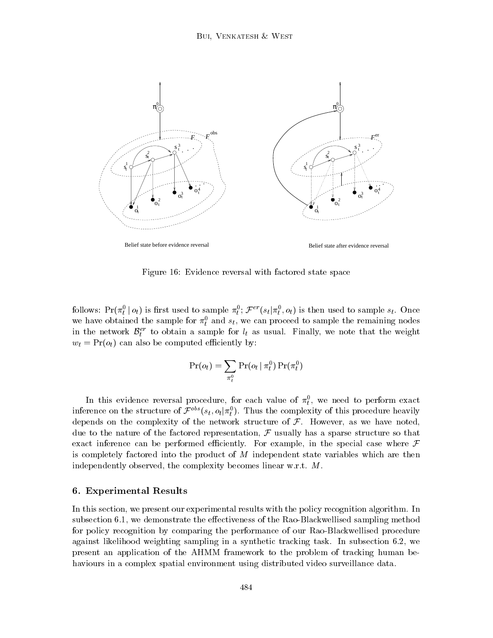

Figure 16: Evidence reversal with factored state space

follows:  $Pr(\pi_t | o_t)$  is first used to sample  $\pi_t$ ;  $\mathcal{F}$  =  $(s_t | \pi_t, o_t)$  is then used to sample  $s_t$ . Once we have obtained the sample for  $\pi_t^0$  and  $s_t$ , we can proceed to sample the remaining nodes in the network  $\mathcal{D}_t^+$  to obtain a sample for  $\iota_t$  as usual. Finally, we note that the weight  $w_t = \Pr(o_t)$  can also be computed efficiently by:

$$
\Pr(o_t) = \sum_{\pi_t^0} \Pr(o_t | \pi_t^0) \Pr(\pi_t^0)
$$

In this evidence reversal procedure, for each value of  $\pi_t$ , we need to perform exact inference on the structure of  $\mathcal{F}^{++}(s_t, o_t | \pi_t)$ . Thus the complexity of this procedure heavily depends on the complexity of the network structure of  $\mathcal{F}$ . However, as we have noted, due to the nature of the factored representation,  $\mathcal F$  usually has a sparse structure so that exact inference can be performed efficiently. For example, in the special case where  $\mathcal F$ is completely factored into the product of M independent state variables which are then independently observed, the complexity becomes linear w.r.t. M.

## 6. Experimental Results

In this section, we present our experimental results with the policy recognition algorithm. In subsection 6.1, we demonstrate the effectiveness of the Rao-Blackwellised sampling method for policy recognition by comparing the performance of our Rao-Blackwellised procedure against likelihood weighting sampling in a synthetic tracking task. In subsection 6.2, we present an application of the AHMM framework to the problem of tracking human behaviours in a complex spatial environment using distributed video surveillance data.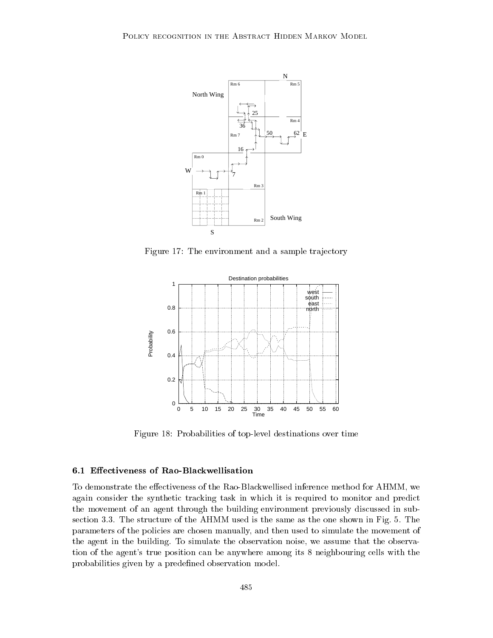

Figure 17: The environment and a sample trajectory



Figure 18: Probabilities of top-level destinations over time

# 6.1 Effectiveness of Rao-Blackwellisation

To demonstrate the effectiveness of the Rao-Blackwellised inference method for AHMM, we again consider the synthetic tracking task in which it is required to monitor and predict the movement of an agent through the building environment previously discussed in subsection 3.3. The structure of the AHMM used is the same as the one shown in Fig. 5. The parameters of the policies are chosen manually, and then used to simulate the movement of the agent in the building. To simulate the observation noise, we assume that the observation of the agent's true position can be anywhere among its 8 neighbouring cells with the probabilities given by a predefined observation model.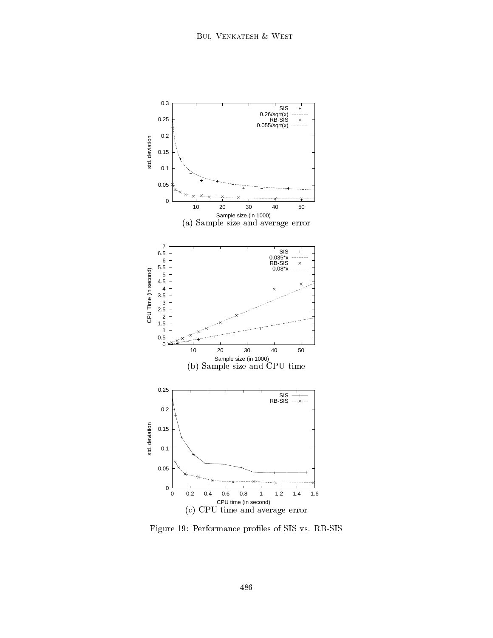

Figure 19: Performance proles of SIS vs. RB-SIS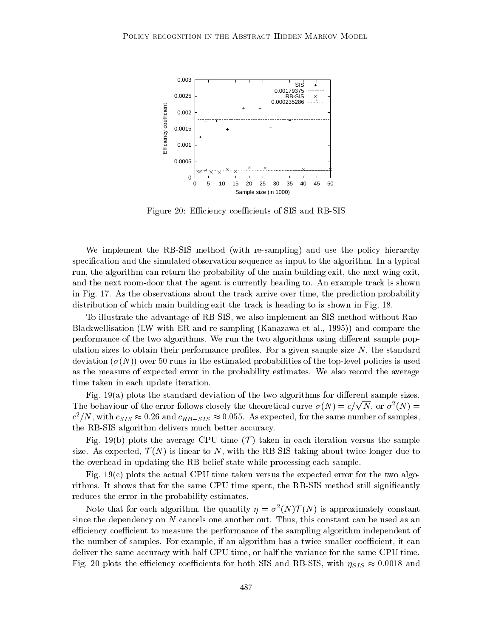

Figure 20: Efficiency coefficients of SIS and RB-SIS

We implement the RB-SIS method (with re-sampling) and use the policy hierarchy specification and the simulated observation sequence as input to the algorithm. In a typical run, the algorithm can return the probability of the main building exit, the next wing exit, and the next room-door that the agent is currently heading to. An example track is shown in Fig. 17. As the observations about the track arrive over time, the prediction probability distribution of which main building exit the track is heading to is shown in Fig. 18.

To illustrate the advantage of RB-SIS, we also implement an SIS method without Rao-Blackwellisation (LW with ER and re-sampling (Kanazawa et al., 1995)) and compare the performance of the two algorithms. We run the two algorithms using different sample population sizes to obtain their performance profiles. For a given sample size  $N$ , the standard deviation  $(\sigma(N))$  over 50 runs in the estimated probabilities of the top-level policies is used as the measure of expected error in the probability estimates. We also record the average time taken in each update iteration.

Fig.  $19(a)$  plots the standard deviation of the two algorithms for different sample sizes. The behaviour of the error follows closely the theoretical curve  $\sigma(N) = c/\sqrt{N}$ , or  $\sigma^2(N) =$  $c$  /iv, with  $c_{SIS} \approx 0.26$  and  $c_{RB-SIS} \approx 0.055$ . As expected, for the same number of samples, the RB-SIS algorithm delivers much better accuracy.

Fig. 19(b) plots the average CPU time  $(\mathcal{T})$  taken in each iteration versus the sample size. As expected,  $\mathcal{T}(N)$  is linear to N, with the RB-SIS taking about twice longer due to the overhead in updating the RB belief state while processing each sample.

Fig.  $19(c)$  plots the actual CPU time taken versus the expected error for the two algorithms. It shows that for the same CPU time spent, the RB-SIS method still significantly reduces the error in the probability estimates.

Note that for each algorithm, the quantity  $\eta = \sigma_-(N)/T(N)$  is approximately constant since the dependency on N cancels one another out. Thus, this constant can be used as an efficiency coefficient to measure the performance of the sampling algorithm independent of the number of samples. For example, if an algorithm has a twice smaller coefficient, it can deliver the same accuracy with half CPU time, or half the variance for the same CPU time. Fig. 20 plots the efficiency coefficients for both SIS and RB-SIS, with  $\eta_{SIS} \approx 0.0018$  and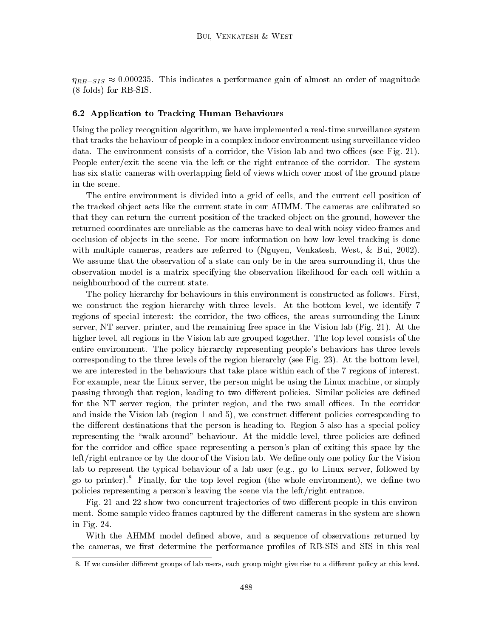$\eta_{RB-SIS} \approx 0.000235$ . This indicates a performance gain of almost an order of magnitude (8 folds) for RB-SIS.

#### 6.2 Application to Tracking Human Behaviours

Using the policy recognition algorithm, we have implemented a real-time surveillance system that tracks the behaviour of people in a complex indoor environment using surveillance video data. The environment consists of a corridor, the Vision lab and two offices (see Fig. 21). People enter/exit the scene via the left or the right entrance of the corridor. The system has six static cameras with overlapping field of views which cover most of the ground plane in the scene.

The entire environment is divided into a grid of cells, and the current cell position of the tracked object acts like the current state in our AHMM. The cameras are calibrated so that they can return the current position of the tracked ob ject on the ground, however the returned coordinates are unreliable as the cameras have to deal with noisy video frames and occlusion of objects in the scene. For more information on how low-level tracking is done with multiple cameras, readers are referred to (Nguyen, Venkatesh, West, & Bui, 2002). We assume that the observation of a state can only be in the area surrounding it, thus the observation model is a matrix specifying the observation likelihood for each cell within a neighbourhood of the current state.

The policy hierarchy for behaviours in this environment is constructed as follows. First, we construct the region hierarchy with three levels. At the bottom level, we identify 7 regions of special interest: the corridor, the two offices, the areas surrounding the Linux server, NT server, printer, and the remaining free space in the Vision lab (Fig. 21). At the higher level, all regions in the Vision lab are grouped together. The top level consists of the entire environment. The policy hierarchy representing people's behaviors has three levels corresponding to the three levels of the region hierarchy (see Fig. 23). At the bottom level, we are interested in the behaviours that take place within each of the 7 regions of interest. For example, near the Linux server, the person might be using the Linux machine, or simply passing through that region, leading to two different policies. Similar policies are defined for the NT server region, the printer region, and the two small offices. In the corridor and inside the Vision lab (region 1 and 5), we construct different policies corresponding to the different destinations that the person is heading to. Region 5 also has a special policy representing the "walk-around" behaviour. At the middle level, three policies are defined for the corridor and office space representing a person's plan of exiting this space by the left/right entrance or by the door of the Vision lab. We define only one policy for the Vision lab to represent the typical behaviour of a lab user (e.g., go to Linux server, followed by go to printer).<sup>8</sup> Finally, for the top level region (the whole environment), we define two policies representing a person's leaving the scene via the left/right entrance.

Fig. 21 and 22 show two concurrent trajectories of two different people in this environment. Some sample video frames captured by the different cameras in the system are shown in Fig. 24.

With the AHMM model defined above, and a sequence of observations returned by the cameras, we first determine the performance profiles of RB-SIS and SIS in this real

<sup>8.</sup> If we consider different groups of lab users, each group might give rise to a different policy at this level.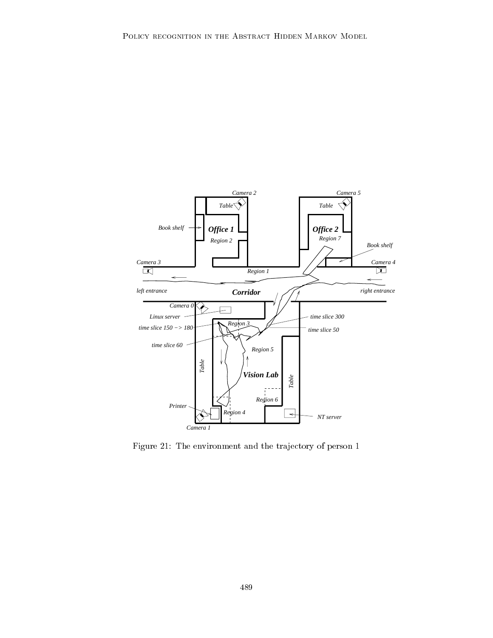

Figure 21: The environment and the trajectory of person 1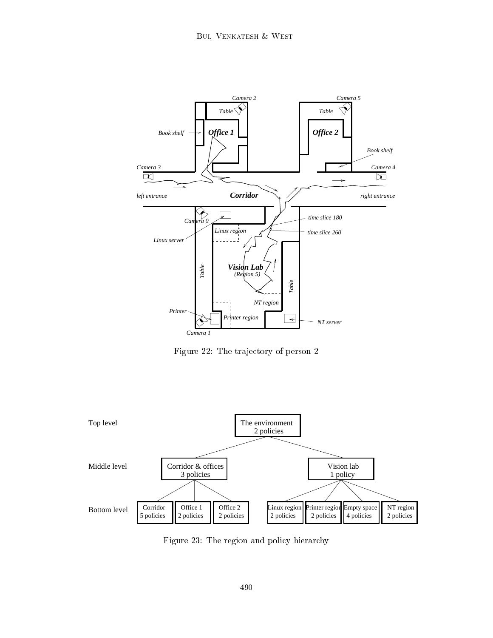

Figure 22: The trajectory of person 2



Figure 23: The region and policy hierarchy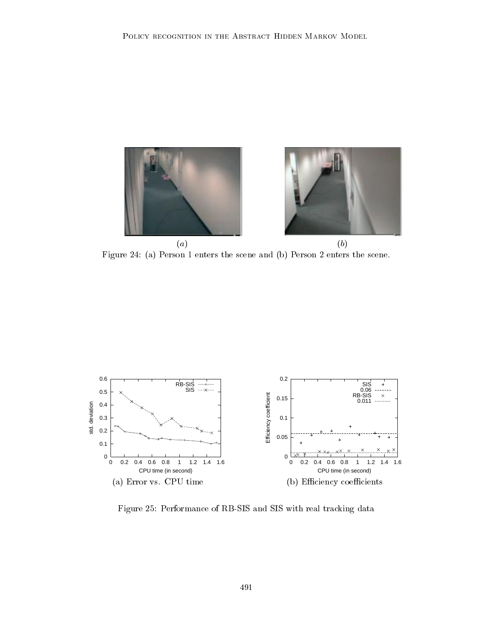

(a) (b) Figure 24: (a) Person 1 enters the scene and (b) Person 2 enters the scene.



Figure 25: Performance of RB-SIS and SIS with real tracking data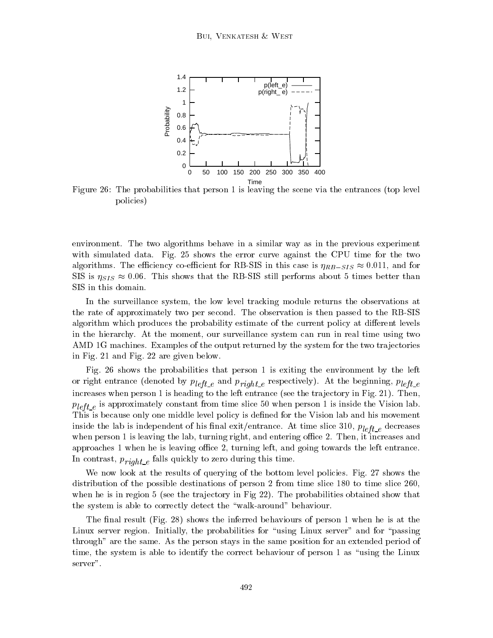

Figure 26: The probabilities that person 1 is leaving the scene via the entrances (top level policies)

environment. The two algorithms behave in a similar way as in the previous experiment with simulated data. Fig. 25 shows the error curve against the CPU time for the two algorithms. The efficiency co-efficient for RB-SIS in this case is  $\eta_{RB-SIS} \approx 0.011$ , and for SIS is  $\eta_{SIS} \approx 0.06$ . This shows that the RB-SIS still performs about 5 times better than SIS in this domain.

In the surveillance system, the low level tracking module returns the observations at the rate of approximately two per second. The observation is then passed to the RB-SIS algorithm which produces the probability estimate of the current policy at different levels in the hierarchy. At the moment, our surveillance system can run in realtime using two AMD 1G machines. Examples of the output returned by the system for the two trajectories in Fig. 21 and Fig. 22 are given below.

Fig. 26 shows the probabilities that person 1 is exiting the environment by the left  $\alpha$  right entrance (denoted by p iii)  $\mu$  is  $\mu$  if  $\mu$  is  $\mu$  is the beginning, p iii). At the beginning, p iii)  $\mu$ increases when person 1 is heading to the left entrance (see the trajectory in Fig. 21). Then,  $\frac{d}{dt}$  is approximately constant from time slice  $\frac{d}{dt}$  is inside the Vision lab. This is because only one middle level policy is dened for the Vision lab and his movement  $\mathbf{r}$  is independent of his independent of his independent of  $\mathbf{r}$  is independent of  $\mathbf{r}$ when person 1 is leaving the lab, turning right, and entering office 2. Then, it increases and approaches  $1$  when he is leaving office  $2$ , turning left, and going towards the left entrance. In contrast, p  $r$  and  $e$  contrast  $q$  is time. This time, then the state of  $r$ 

We now look at the results of querying of the bottom level policies. Fig. 27 shows the distribution of the possible destinations of person 2 from time slice 180 to time slice 260, when he is in region 5 (see the trajectory in Fig 22). The probabilities obtained show that the system is able to correctly detect the \walk-around" behaviour.

The final result (Fig. 28) shows the inferred behaviours of person 1 when he is at the Linux server region. Initially, the probabilities for "using Linux server" and for "passing through" are the same. As the person stays in the same position for an extended period of time, the system is able to identify the correct behaviour of person 1 as \using the Linux server".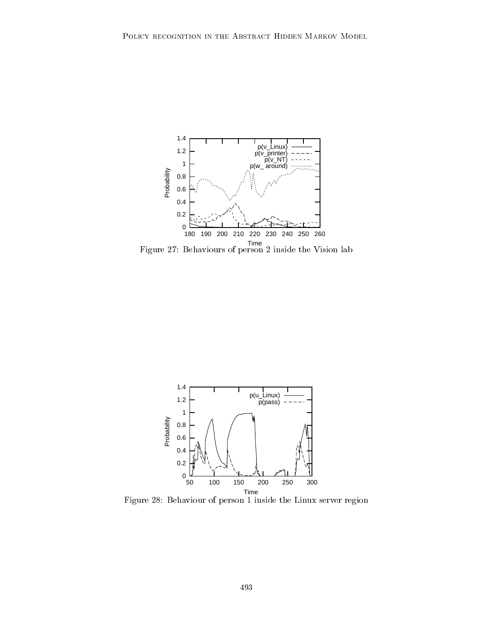

Time Figure 27: Behaviours of person 2 inside the Vision lab



Figure 28: Behaviour of person 1 inside the Linux server region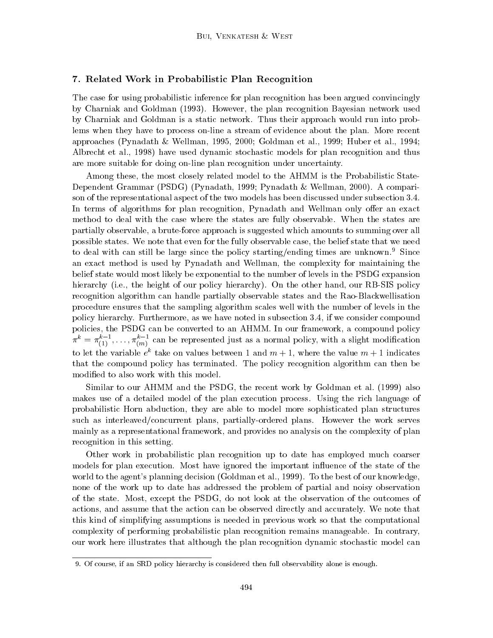# 7. Related Work in Probabilistic Plan Recognition

The case for using probabilistic inference for plan recognition has been argued convincingly by Charniak and Goldman (1993). However, the plan recognition Bayesian network used by Charniak and Goldman is a static network. Thus their approach would run into problems when they have to process on-line a stream of evidence about the plan. More recent approaches (Pynadath & Wellman, 1995, 2000; Goldman et al., 1999; Huber et al., 1994; Albrecht et al., 1998) have used dynamic stochastic models for plan recognition and thus are more suitable for doing on-line plan recognition under uncertainty.

Among these, the most closely related model to the AHMM is the Probabilistic State-Dependent Grammar (PSDG) (Pynadath, 1999; Pynadath & Wellman, 2000). A comparison of the representational aspect of the two models has been discussed under subsection 3.4. In terms of algorithms for plan recognition, Pynadath and Wellman only offer an exact method to deal with the case where the states are fully observable. When the states are partially observable, a brute-force approach is suggested which amounts to summing over all possible states. We note that even for the fully observable case, the belief state that we need to deal with can still be large since the policy starting/ending times are unknown.<sup>9</sup> Since an exact method is used by Pynadath and Wellman, the complexity for maintaining the belief state would most likely be exponential to the number of levels in the PSDG expansion hierarchy (i.e., the height of our policy hierarchy). On the other hand, our RB-SIS policy recognition algorithm can handle partially observable states and the Rao-Blackwellisation procedure ensures that the sampling algorithm scales well with the number of levels in the policy hierarchy. Furthermore, as we have noted in subsection 3.4, if we consider compound policies, the PSDG can be converted to an AHMM. In our framework, a compound policy  $\pi^* = \pi_{(1)}, \, \ldots, \pi_{(m)}$  can be represented just as a normal policy, with a slight modification to let the variable  $e^-$  take on values between 1 and  $m + 1$ , where the value  $m + 1$  indicates that the compound policy has terminated. The policy recognition algorithm can then be modied to also work with this model.

Similar to our AHMM and the PSDG, the recent work by Goldman et al. (1999) also makes use of a detailed model of the plan execution process. Using the rich language of probabilistic Horn abduction, they are able to model more sophisticated plan structures such as interleaved/concurrent plans, partially-ordered plans. However the work serves mainly as a representational framework, and provides no analysis on the complexity of plan recognition in this setting.

Other work in probabilistic plan recognition up to date has employed much coarser models for plan execution. Most have ignored the important influence of the state of the world to the agent's planning decision (Goldman et al., 1999). To the best of our knowledge, none of the work up to date has addressed the problem of partial and noisy observation of the state. Most, except the PSDG, do not look at the observation of the outcomes of actions, and assume that the action can be observed directly and accurately. We note that this kind of simplifying assumptions is needed in previous work so that the computational complexity of performing probabilistic plan recognition remains manageable. In contrary, our work here illustrates that although the plan recognition dynamic stochastic model can

<sup>9.</sup> Of course, if an SRD policy hierarchy is considered then full observability alone is enough.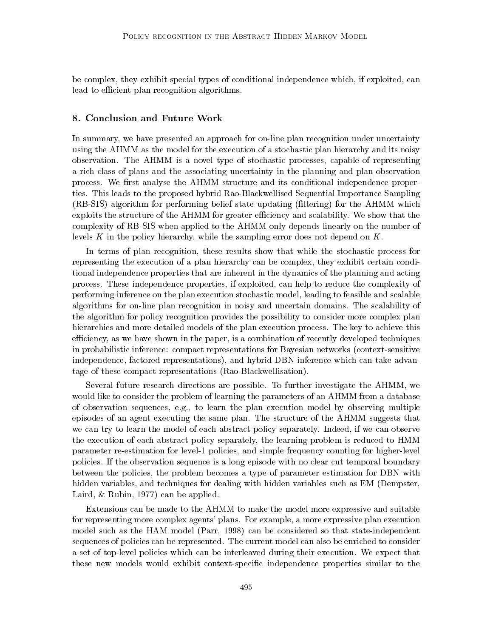be complex, they exhibit special types of conditional independence which, if exploited, can lead to efficient plan recognition algorithms.

#### 8. Conclusion and Future Work

In summary, we have presented an approach for on-line plan recognition under uncertainty using the AHMM as the model for the execution of a stochastic plan hierarchy and its noisy observation. The AHMM is a novel type of stochastic processes, capable of representing a rich class of plans and the associating uncertainty in the planning and plan observation process. We first analyse the AHMM structure and its conditional independence properties. This leads to the proposed hybrid Rao-Blackwellised Sequential Importance Sampling (RB-SIS) algorithm for performing belief state updating (ltering) for the AHMM which exploits the structure of the AHMM for greater efficiency and scalability. We show that the complexity of RB-SIS when applied to the AHMM only depends linearly on the number of levels K in the policy hierarchy, while the sampling error does not depend on  $K$ .

In terms of plan recognition, these results show that while the stochastic process for representing the execution of a plan hierarchy can be complex, they exhibit certain conditional independence properties that are inherent in the dynamics of the planning and acting process. These independence properties, if exploited, can help to reduce the complexity of performing inference on the plan execution stochastic model, leading to feasible and scalable algorithms for on-line plan recognition in noisy and uncertain domains. The scalability of the algorithm for policy recognition provides the possibility to consider more complex plan hierarchies and more detailed models of the plan execution process. The key to achieve this efficiency, as we have shown in the paper, is a combination of recently developed techniques in probabilistic inference: compact representations for Bayesian networks (context-sensitive independence, factored representations), and hybrid DBN inference which can take advantage of these compact representations (Rao-Blackwellisation).

Several future research directions are possible. To further investigate the AHMM, we would like to consider the problem of learning the parameters of an AHMM from a database of observation sequences, e.g., to learn the plan execution model by observing multiple episodes of an agent executing the same plan. The structure of the AHMM suggests that we can try to learn the model of each abstract policy separately. Indeed, if we can observe the execution of each abstract policy separately, the learning problem is reduced to HMM parameter re-estimation for level-1 policies, and simple frequency counting for higher-level policies. If the observation sequence is a long episode with no clear cut temporal boundary between the policies, the problem becomes a type of parameter estimation for DBN with hidden variables, and techniques for dealing with hidden variables such as EM (Dempster, Laird, & Rubin, 1977) can be applied.

Extensions can be made to the AHMM to make the model more expressive and suitable for representing more complex agents' plans. For example, a more expressive plan execution model such as the HAM model (Parr, 1998) can be considered so that state-independent sequences of policies can be represented. The current model can also be enriched to consider a set of top-level policies which can be interleaved during their execution. We expect that these new models would exhibit context-specic independence properties similar to the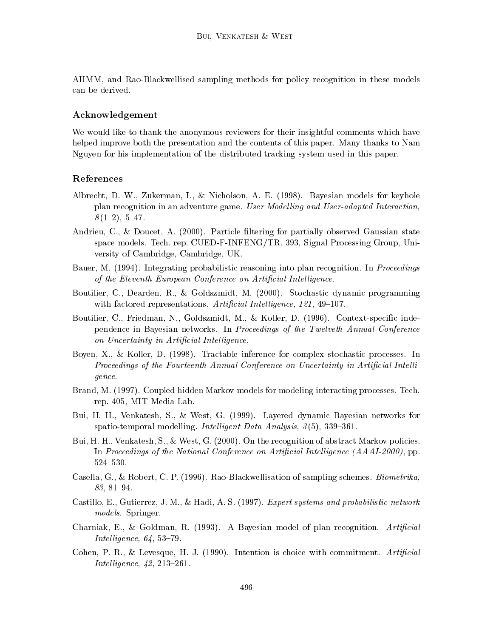AHMM, and Rao-Blackwellised sampling methods for policy recognition in these models can be derived.

# Acknowledgement

We would like to thank the anonymous reviewers for their insightful comments which have helped improve both the presentation and the contents of this paper. Many thanks to Nam Nguyen for his implementation of the distributed tracking system used in this paper.

#### References

- Albrecht, D. W., Zukerman, I., & Nicholson, A. E. (1998). Bayesian models for keyhole plan recognition in an adventure game. User Modelling and User-adapted Interaction,  $8(1{-}2), 5{-}47.$
- Andrieu, C., & Doucet, A. (2000). Particle filtering for partially observed Gaussian state space models. Tech. rep. CUED-F-INFENG/TR. 393, Signal Processing Group, University of Cambridge, Cambridge, UK.
- Bauer, M. (1994). Integrating probabilistic reasoning into plan recognition. In *Proceedings* of the Eleventh European Conference on Artificial Intelligence.
- Boutilier, C., Dearden, R., & Goldszmidt, M. (2000). Stochastic dynamic programming with factored representations. Artificial Intelligence,  $121$ ,  $49-107$ .
- Boutilier, C., Friedman, N., Goldszmidt, M., & Koller, D. (1996). Context-specific independence in Bayesian networks. In Proceedings of the Twelveth Annual Conference on Uncertainty in Artificial Intelligence.
- Boyen, X., & Koller, D. (1998). Tractable inference for complex stochastic processes. In  $Proceedings of the Fourteenth Annual Conference on Uncertainty in Artificial Intelligence$ gence.
- Brand, M. (1997). Coupled hidden Markov models for modeling interacting processes. Tech. rep. 405, MIT Media Lab.
- Bui, H. H., Venkatesh, S., & West, G. (1999). Layered dynamic Bayesian networks for spatio-temporal modelling. Intelligent Data Analysis,  $3(5)$ ,  $339-361$ .
- Bui, H. H., Venkatesh, S., & West, G. (2000). On the recognition of abstract Markov policies. In Proceedings of the National Conference on Artificial Intelligence  $(AA A I - 2000)$ , pp. 524-530.
- Casella, G., & Robert, C. P. (1996). Rao-Blackwellisation of sampling schemes. Biometrika,  $83, 81 - 94.$
- Castillo, E., Gutierrez, J. M., & Hadi, A. S. (1997). Expert systems and probabilistic network models. Springer.
- Charniak, E., & Goldman, R. (1993). A Bayesian model of plan recognition.  $Artificial$ Intelligence,  $64, 53-79$ .
- Cohen, P. R., & Levesque, H. J. (1990). Intention is choice with commitment. Artificial *Intelligence*,  $42.213 - 261$ .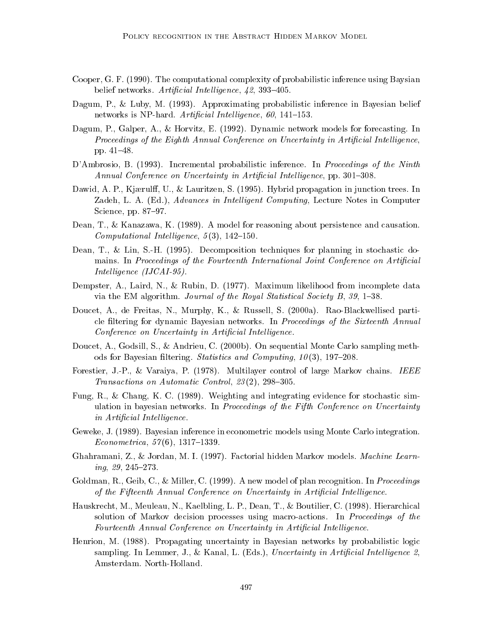- Cooper, G. F. (1990). The computational complexity of probabilistic inference using Baysian belief networks. Artificial Intelligence,  $\mu$ 2, 393-405.
- Dagum, P., & Luby, M. (1993). Approximating probabilistic inference in Bayesian belief networks is NP-hard. Artificial Intelligence, 60, 141-153.
- Dagum, P., Galper, A., & Horvitz, E. (1992). Dynamic network models for forecasting. In Proceedings of the Eighth Annual Conference on Uncertainty in Artificial Intelligence, pp. 41-48.
- D'Ambrosio, B. (1993). Incremental probabilistic inference. In *Proceedings of the Ninth* Annual Conference on Uncertainty in Artificial Intelligence, pp. 301–308.
- Dawid, A. P., Kjærulff, U., & Lauritzen, S. (1995). Hybrid propagation in junction trees. In Zadeh, L. A. (Ed.), Advances in Intelligent Computing, Lecture Notes in Computer Science, pp. 87-97.
- Dean, T., & Kanazawa, K. (1989). A model for reasoning about persistence and causation. Computational Intelligence,  $5(3)$ ,  $142{-}150$ .
- Dean, T., & Lin, S.-H. (1995). Decomposition techniques for planning in stochastic domains. In Proceedings of the Fourteenth International Joint Conference on Artificial Intelligence (IJCAI-95).
- Dempster, A., Laird, N., & Rubin, D. (1977). Maximum likelihood from incomplete data via the EM algorithm. Journal of the Royal Statistical Society B,  $39$ , 1-38.
- Doucet, A., de Freitas, N., Murphy, K., & Russell, S. (2000a). Rao-Blackwellised particle filtering for dynamic Bayesian networks. In *Proceedings of the Sixteenth Annual* Conference on Uncertainty in Artificial Intelligence.
- Doucet, A., Godsill, S., & Andrieu, C. (2000b). On sequential Monte Carlo sampling methods for Bayesian filtering. Statistics and Computing,  $10(3)$ , 197-208.
- Forestier, J.-P., & Varaiya, P. (1978). Multilayer control of large Markov chains. IEEE Transactions on Automatic Control,  $23(2)$ ,  $298-305$ .
- Fung, R., & Chang, K. C. (1989). Weighting and integrating evidence for stochastic simulation in bayesian networks. In Proceedings of the Fifth Conference on Uncertainty in Artificial Intelligence.
- Geweke, J. (1989). Bayesian inference in econometric models using Monte Carlo integration.  $Econometrica, 57(6), 1317-1339.$
- Ghahramani, Z., & Jordan, M. I. (1997). Factorial hidden Markov models. Machine Learn $inq, 29, 245{-}273.$
- Goldman, R., Geib, C., & Miller, C. (1999). A new model of plan recognition. In *Proceedings* of the Fifteenth Annual Conference on Uncertainty in Artificial Intelligence.
- Hauskrecht, M., Meuleau, N., Kaelbling, L. P., Dean, T., & Boutilier, C. (1998). Hierarchical solution of Markov decision processes using macro-actions. In Proceedings of the Fourteenth Annual Conference on Uncertainty in Artificial Intelligence.
- Henrion, M. (1988). Propagating uncertainty in Bayesian networks by probabilistic logic sampling. In Lemmer, J., & Kanal, L. (Eds.), Uncertainty in Artificial Intelligence  $2$ , Amsterdam. North-Holland.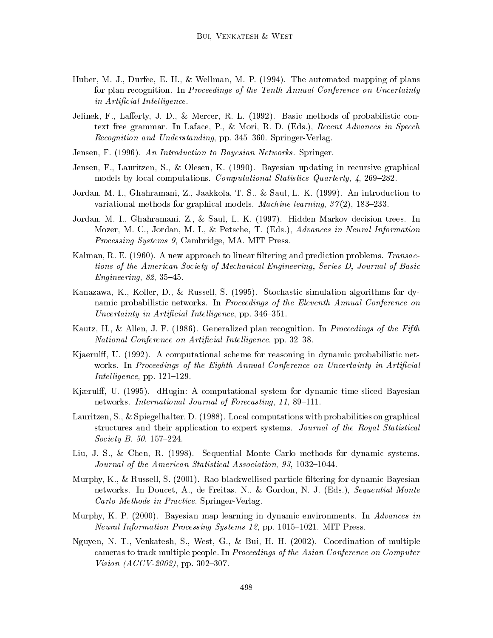- Huber, M. J., Durfee, E. H., & Wellman, M. P. (1994). The automated mapping of plans for plan recognition. In Proceedings of the Tenth Annual Conference on Uncertainty in Artificial Intelligence.
- Jelinek, F., Lafferty, J. D., & Mercer, R. L. (1992). Basic methods of probabilistic context free grammar. In Laface, P., & Mori, R. D. (Eds.), Recent Advances in Speech Recognition and Understanding, pp. 345-360. Springer-Verlag.
- Jensen, F. (1996). An Introduction to Bayesian Networks. Springer.
- Jensen, F., Lauritzen, S., & Olesen, K. (1990). Bayesian updating in recursive graphical models by local computations. Computational Statistics Quarterly,  $\ell$ , 269–282.
- Jordan, M. I., Ghahramani, Z., Jaakkola, T. S., & Saul, L. K. (1999). An introduction to variational methods for graphical models. Machine learning,  $37(2)$ , 183-233.
- Jordan, M. I., Ghahramani, Z., & Saul, L. K. (1997). Hidden Markov decision trees. In Mozer, M. C., Jordan, M. I., & Petsche, T. (Eds.), Advances in Neural Information Processing Systems 9, Cambridge, MA. MIT Press.
- Kalman, R. E. (1960). A new approach to linear filtering and prediction problems. Transactions of the American Society of Mechanical Engineering, Series D, Journal of Basic Engineering,  $82, 35-45.$
- Kanazawa, K., Koller, D., & Russell, S. (1995). Stochastic simulation algorithms for dynamic probabilistic networks. In Proceedings of the Eleventh Annual Conference on  $Uncertainty$  in Artificial Intelligence, pp. 346-351.
- Kautz, H., & Allen, J. F. (1986). Generalized plan recognition. In Proceedings of the Fifth National Conference on Artificial Intelligence, pp. 32-38.
- Kjaerulff, U. (1992). A computational scheme for reasoning in dynamic probabilistic networks. In Proceedings of the Eighth Annual Conference on Uncertainty in Artificial Intelligence, pp.  $121–129$ .
- Kjærulff, U. (1995). dHugin: A computational system for dynamic time-sliced Bayesian networks. International Journal of Forecasting, 11, 89-111.
- Lauritzen, S., & Spiegelhalter, D. (1988). Local computations with probabilities on graphical structures and their application to expert systems. Journal of the Royal Statistical Society B,  $50, 157-224$ .
- Liu, J. S., & Chen, R. (1998). Sequential Monte Carlo methods for dynamic systems. Journal of the American Statistical Association, 93, 1032-1044.
- Murphy, K., & Russell, S. (2001). Rao-blackwellised particle ltering for dynamic Bayesian networks. In Doucet, A., de Freitas, N., & Gordon, N. J. (Eds.), Sequential Monte Carlo Methods in Practice. Springer-Verlag.
- Murphy, K. P. (2000). Bayesian map learning in dynamic environments. In Advances in Neural Information Processing Systems 12, pp. 1015-1021. MIT Press.
- Nguyen, N. T., Venkatesh, S., West, G., & Bui, H.H. (2002). Coordination of multiple cameras to track multiple people. In Proceedings of the Asian Conference on Computer Vision  $(ACCV-2002)$ , pp. 302-307.